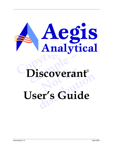

# **example 1998** Discoverant®

# **distribution User's Guide**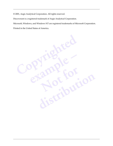© 2001, Aegis Analytical Corporation. All rights reserved.

Discoverant is a registered trademark of Aegis Analytical Corporation.

Microsoft, Windows, and Windows NT are registered trademarks of Microsoft Corporation.

Printed in the United States of America.

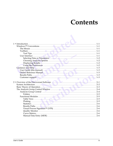## Contents

| User Guide (this manual) Manual Manual Manual Manual Manual Manual 1-3 |  |
|------------------------------------------------------------------------|--|
|                                                                        |  |
|                                                                        |  |
|                                                                        |  |
|                                                                        |  |
|                                                                        |  |
|                                                                        |  |
|                                                                        |  |
|                                                                        |  |
|                                                                        |  |
|                                                                        |  |
|                                                                        |  |
|                                                                        |  |
|                                                                        |  |
|                                                                        |  |
|                                                                        |  |
|                                                                        |  |
|                                                                        |  |
|                                                                        |  |
|                                                                        |  |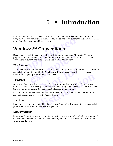## **1 • Introduction**

In this chapter you'll learn about some of the general features, functions, conventions and navigation of Discoverant's user interface. You'll also find ways other than this manual to learn more about Discoverant and how to use it.

## <span id="page-5-6"></span><span id="page-5-1"></span>**Windows™ Conventions**

<span id="page-5-0"></span>this chapter you'll learn about some of the general features, functions<br>vigation of Discoverant's user interface. You'll also find ways other the<br>pre about Discoverant and how to use it.<br>**Vindows** TM **Conventions**<br>scoveran Discoverant's user interface is much like the interface in most other Microsoft<sup>®</sup> Windows programs (except that there are no menus at the tops of the windows). Many of the same conventions in other Windows programs also work in Discoverant.

#### <span id="page-5-7"></span><span id="page-5-2"></span>*The Mouse*

Fundated as much like the interface in most other Michardthat there are no menus at the tops of the windows). There Windows programs also work in Discoverant.<br> **Example 18 Windows programs** also work in Discoverant.<br> **Solu** All of the functions and options in Discoverant are available by clicking (with the left button) or right-clicking (with the right button) on them with the mouse. To use the large icons on Discoverant's opening window, click them once.

#### <span id="page-5-9"></span><span id="page-5-3"></span>*Toolbars*

It is in Discoverant are available by clicking (valued) on them with the mouse. To use the  $\alpha$ , click them once.<br> **Note for the mouse of the mouse in that window**<br>
The a row of tools you can use in that window<br>
<u>The mouse</u> **dow, click them once.**<br>
Is are a row of tools you can use in that window. Sometimes one can grey and will not do anything when you click it. This means the<br>
ith your current selections in the window.<br>
The window.<br>
The too At the top of most windows are a row of tools you can use in that window. Sometimes one or more of the tools will appear grey and will not do anything when you click it. This means that the tool will not function with your current selections in the window.

For more information on the tools available in the various Discoverant functions and their explanations and uses, see Chapter 5, *Functional Modules*.

#### <span id="page-5-8"></span><span id="page-5-4"></span>**Tool Tips**

If you hold the cursor over a tool in Discoverant, a "tool tip" will appear after a moment, giving you the name of the tool or the function it performs.

#### <span id="page-5-5"></span>*User Interface*

Discoverant's user interface is very similar to the interface in most other Window's programs. In this manual and other Discoverant documentation, the individual user interfaces are called windows or dialog boxes.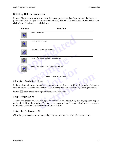#### <span id="page-6-0"></span>**Selecting Data or Parameters**

<span id="page-6-5"></span>In most Discoverant windows and functions, you must select data from external databases or parameters from Analysis Groups (explained later). Simply click on the data or parameter, then click a "move" button (see table below).

| <b>Function</b><br><b>Buttons</b> |  |                                                                                                                                                                                       |
|-----------------------------------|--|---------------------------------------------------------------------------------------------------------------------------------------------------------------------------------------|
|                                   |  | Add a Parameter                                                                                                                                                                       |
|                                   |  | Remove a Parameter                                                                                                                                                                    |
|                                   |  | Remove all selected Parameters                                                                                                                                                        |
|                                   |  | Move a Parameter up in the selected list                                                                                                                                              |
|                                   |  | Move a Parameter down in the selected list                                                                                                                                            |
|                                   |  | "Move" buttons in Discoverant                                                                                                                                                         |
|                                   |  | noosing Analysis Options                                                                                                                                                              |
|                                   |  | the analysis windows, the analysis options are on the lower left side of the window, bel<br>ea where you select the parameters. Most of the options are selectable by clicking the ra |
| tton $\left  \mathbf{e} \right $  |  | or by choosing an option from drop-down lists.                                                                                                                                        |

#### <span id="page-6-4"></span><span id="page-6-1"></span>**Choosing Analysis Options**

<span id="page-6-9"></span><span id="page-6-8"></span>In the analysis windows, the analysis options are on the lower left side of the window, below the area where you select the parameters. Most of the options are selectable by clicking the radio

button  $\bullet$  or by choosing an option from drop-down lists.

#### <span id="page-6-7"></span><span id="page-6-2"></span>**Displaying Results**

"Move" buttons in Discoverant<br>prioris<br>the analysis options are on the lower left side of the window, below<br>arameters. Most of the options are selectable by clicking the radio<br>an option from drop-down lists.<br>malysis options After you've chosen your analysis options, click **Display**. The resulting plot or graph will appear on the right side of the window. You may also choose to have the results displayed in a separate window by selecting **Use New Window for each Plot**.

#### <span id="page-6-6"></span><span id="page-6-3"></span>**Using the Preferences**

Click the preferences icon to change display properties such as labels, fonts and colors.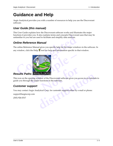## <span id="page-7-7"></span><span id="page-7-0"></span>**Guidance and Help**

Aegis Analytical provides you with a number of resources to help you use the Discoverant software.

#### <span id="page-7-1"></span>*User Guide (this manual)*

This User Guide explains how the Discoverant software works and illustrates the major functions it provides you. It also explains terms and concepts Discoverant uses that may be unfamiliar to you but are used to facilitate and simplify data analysis.

#### <span id="page-7-8"></span><span id="page-7-2"></span>*Online Reference Manual*

<span id="page-7-3"></span>The online Reference Manual gives you specific help for the major windows in the software. In any window, click the Help  $\mathscr G$  tool for help and information specific to that window.

<span id="page-7-9"></span>

**NOTE PATTS**<br>
low of the Discoverant software gives you a<br>
unctions in the software.<br>
Lical Corp. for customer support either by e-Final<br>
vindow of the Discoverant software gives you access to six tutorial<br>
or functions in the software.<br>
<u>distribution</u><br>
distribution of the software support either by e-mail or phone:<br>
distribution of the software suppo This icon on the opening window of the Discoverant software gives you access to six tutorials to guide you through the major functions in the software.

#### <span id="page-7-6"></span><span id="page-7-4"></span>*Customer support*

You may contact Aegis Analytical Corp. for customer support either by e-mail or phone:

<span id="page-7-5"></span>support@aegiscorp.com

(303) 926-0317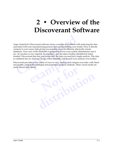## **2 • Overview of the Discoverant Software**

<span id="page-8-0"></span>expected with your manufacturing process and communicating your sociated with your manufacturing process and communicating your nenects to your source data giving you seamless access to different, ph tabases. Your view of Aegis Analytical's Discoverant software solves a number of problems with analyzing the data associated with your manufacturing process and communicating your results. First, it directly connects to your source data giving you seamless access to different, physically remote databases. Your view of the databases is grouped however your system administrator sets it up—by product or raw material, for example—and the data is further identified by batch number. Discoverant then lets you extract only the data you need for a single analysis. This data is combined into an Analysis Group, which simplifies and focuses your analysis even further.

Discoverant provides you a variety of ways to view, analyze and compare your data, with charts and graphs, using both traditional and proprietary analysis methods. These visual results are easily shared with others.

Find then lets you extract only the data you need for a n Analysis Group, which simplifies and focuses your des you a variety of ways to view, analyze and compability that the method of the methods. The others. **Not for distribution**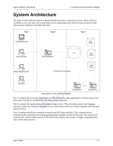## <span id="page-9-0"></span>**System Architecture**

The Discoverant software and its required hardware form a 3-tiered structure. Most of this is invisible to you, the user, but it may help you to understand how Discoverant connects to the data sources and how it handles the data.



Discoverant's Three-Tiered Architecture

Tier 1 contains the end-user application. In this illustration, the application is broken down into four parts, but all are combined in the Discoverant software.

Tier 2 contains the application and business logic server. This provides session and logging services, caches the Analysis Group(s) in use, and connects the user to the compute server(s) and data server(s).

Tier 3 contains the JWave compute server(s) and ECI data server(s). The compute server performs both analytical processing and generates graphic results for the user. The data server connects the various data sources to the rest of the system and creates a single, comprehensive view of the data sources.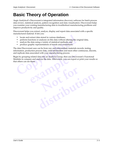## <span id="page-10-0"></span>**Basic Theory of Operation**

Aegis Analytical's Discoverant is integrated information discovery software for batch process data review, statistical analysis, pattern recognition and data visualization. Discoverant helps you examine your existing manufacturing data to troubleshoot manufacturing problems and improve productivity and quality.

Discoverant helps you extract, analyze, display and report data associated with a specific manufactured material. It lets you:

- locate and extract data stored in various databases,
- perform functions or analyses on this data without altering the original data,
- analyze the data using a variety of statistical methods, and
- produce graphic representations of trends and correlations.

The data Discoverant uses can be from raw and intermediate materials records, testing information, production process data, yield information and most other continuous, discrete, and replicate data associated with your manufacturing process.

Begin by grouping related data into an Analysis Group, then use Discoverant's Functional Modules to compare and analyze the data. Afterwards, you can export or print your results so that others can see them.

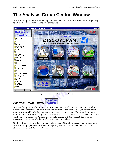## <span id="page-11-3"></span><span id="page-11-2"></span><span id="page-11-0"></span>**The Analysis Group Central Window**

Analysis Group Central is the opening window of the Discoverant software and is the gateway to all of Discoverant's major functions or modules.



Opening window of the Discoverant software

### <span id="page-11-4"></span><span id="page-11-1"></span>*Analysis Group Central*

Analysis Groups are the beginning and most basic tool in the Discoverant software. Analysis Groups let you organize and simplify the vast amount of data available to you so that, at any time, you work with only the data you want to analyze and no more. For example, if you're interested in analyzing all 3<sup>rd</sup> Quarter processes in which the yield was 75% percent of the ideal yield, you would create an Analysis Group that included only the relevant data from those processes, restricted to only the timeframe you want to analyze.

On the left side of the window—under Analysis Group Central—are users' folders containing Analysis Groups (see *[Analysis Groups](#page-14-1)* on page 3-1). Within your personal folder you can structure the contents to best suit your needs.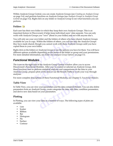Within Analysis Group Central, you can create Analysis Groups (see *[Creating an Analysis Group](#page-19-2)* [on page 3-6\)](#page-19-2), and perform functions on Analysis Groups (see *[Analysis Groups in Analysis Group](#page-15-3)  Central* [on page 3-2](#page-15-3)). Right-click on any folder or Analysis Group to see what functions you can perform.

#### <span id="page-12-0"></span>**Folders**

Each user has their own folder in which they keep their own Analysis Groups. This is an important feature in Discoverant; it helps keep individual users' data separate. You can only work with Analysis Groups you "own" (those in your folder) and not with anyone else's.

You will only see your own folder and the folders of others who have shared Analysis Groups available for you to copy. Within the folders of others, you will see only the Analysis Groups they have made shared, though you cannot work with these Analysis Groups until you have copied them to your own folder.

Right-click on the folders or Analysis Groups to see the options you have for them. You will have different options available depending on the status of the folder or group and your permissions. For more detailed information, see *Folder and Analysis Group Options* on page 3-2.

#### <span id="page-12-4"></span><span id="page-12-1"></span>*Functional Modules*

The with Analysis Groups you "own" (those in your folder) and not w<br>u will only see your own folder and the folders of others who have slailable for you to copy. Within the folders of others, you will see only<br>explore the **hodules**<br>**follogies**<br>**example 5**<br>**example 5**<br>**example 5**<br>**example 5**<br>**example 5**<br>**example 5**<br>**example 5**<br>**example 5**<br>**example 5**<br>**example 5**<br>**example 5**<br>**example 5**<br>**example 5**<br>**example 5**<br>**example 5**<br>**example 5**<br>**example** In statistical analyses and comparisons on the of the data or use the Results Paths to work<br>In the data or use the Results Paths to work<br>In the data of these Functional Modules, see Chapter<br>Our parameters and the data cont The icons on the right side of the Analysis Group Central window allow you to access Discoverant's Functional Modules. After you've created or selected an Analysis Group, click these functions once to perform statistical analyses and comparisons on the data in your Analysis Group, prepare plots of the data or use the Results Paths to work your way through analyses.

For more complete descriptions of these Functional Modules, see Chapter 5, *Functional Modules*.

#### <span id="page-12-6"></span><span id="page-12-2"></span>**Table View**

**t[ion](#page-29-2)s** of these Functional Modules, see Chapter 5, Functional Modu<br>w your parameters and the data contained therein. You can also de<br>sis Group, create categories for data, edit data, condition paramet<br>l on your parameters In Table View, you can view your parameters and the data contained therein. You can also delete parameters from an Analysis Group, create categories for data, edit data, condition parameters, and derive new data based on your parameters.

#### <span id="page-12-5"></span><span id="page-12-3"></span>**Plotting**

In Plotting, you can view your data in a number of ways. The following types of plots are available:

- Line
- Scatter
- Ribbon
- Bar
- Histogram
- Pie
- Surface
- Contour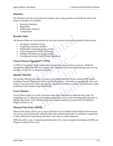#### <span id="page-13-10"></span><span id="page-13-0"></span>**Statistics**

The Statistics area lets you create and compare data using statistics to describe the data. Four kinds of statistics are available:

- Summary Statistics
- Regression
- Multivariate Analysis
- Comparisons

#### <span id="page-13-1"></span>**Results Paths**

The Results Paths are mini-tutorials for the most common functions available in Discoverant:

- Creating an Analysis Group
- Displaying summary statistics
- Statistically comparing groups of data
- Analyzing groups of data by plotting
- Finding correlations in groups of data
- Creating and using Visual Process Signatures

#### <span id="page-13-11"></span><span id="page-13-2"></span>**Visual Process Signature™ (VPS)**

<span id="page-13-9"></span>**Example 18 Paths**<br> **Compare Example 18 Analysis Group**<br> **Common functions ava**<br> **Comparistic and Analysis Group**<br> **Comparist Comparing groups of data**<br> **Comparist Analyzing groups of data by plotting**<br> **Comparist Comparis** Manuson Signatures<br> **example 1999**<br>
Signature<sup>TM</sup> (VPS)<br>
hot" of the relationship between key parameters in a<br>
d the VPS are complex, the resulting surface plot and<br>
ay to compare processes.<br> **pr**<br>
tor provides a number of A VPS is a "snapshot" of the relationship between key parameters in a process. While the calculations behind the VPS are complex, the resulting surface plot and animation give you an intuitive, visual way to compare processes.

#### <span id="page-13-12"></span><span id="page-13-8"></span><span id="page-13-3"></span>**Quality Monitor**

France Complex, the resulting surface plot and af<br>
the processes.<br> **A** number of standard Statistical Process Co<br>
CuSum and Pareto graphs – that help you g<br>
are common, standard methods to analyze<br>
Discoverant. des a number of standard Statistical Process Control (SPC) tools-<br>
Ind CuSum and Pareto graphs – that help you graphically view are<br>
see are common, standard methods to analyze your processes, ea<br>
ing Discoverant.<br>
Fork wi The Quality Monitor provides a number of standard Statistical Process Control (SPC) tools including Control Charts and CuSum and Pareto graphs—that help you graphically view and analyze your processes. These are common, standard methods to analyze your processes, easily understood and created using Discoverant.

#### <span id="page-13-6"></span><span id="page-13-4"></span>**Curve Metrics**

Curve Metrics helps you work with time-series data measured on different time scales. By smoothing curves, aligning curves, fitting equations to curves and extracting other features of digital strip charts, Curve Metrics helps you compare similar processes that took different lengths of time to run.

#### <span id="page-13-7"></span><span id="page-13-5"></span>**Manual Data Entry (MDE)**

Manual Data Entry allows you to input data that is not available in the databases Discoverant can access, such as manually collected data, data collected especially for statistical comparison, or data collected by instruments that don't save data to usable databases.

MDE also allows you to import spreadsheet data. For a more complete description of MDE, [see](#page-39-2)  Chapter 6, *[Manual Data Entry](#page-39-2)*.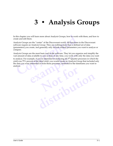## <span id="page-14-1"></span>**3 • Analysis Groups**

In this chapter you will learn more about Analysis Groups, how to work with them, and how to create and edit them.

Analysis Groups are the "center" of the Discoverant world. All functions in the Discoverant software require an Analysis Group. They are nothing more than a defined set of data (parameters) you create, and generally only include related parameters you want to analyze or compare.

Analysis Groups are the most basic tool in the software. They let you organize and simplify the vast amount of data available to you so that, at any time, you work with only the data you want

<span id="page-14-0"></span>this chapter you will learn more about Analysis Groups, how to worleate and edit them.<br>
halysis Groups are the "center" of the Discoverant world. All function<br>
halysis Groups are the "center" of the Discoverant world. All to analyze. For example, if you're interested in analyzing all 3<sup>rd</sup> Quarter processes in which the yield was 75% percent of the ideal yield, you would create an Analysis Group that included only the data you were interested in from those processes, restricted to the timeframe you want to analyze.

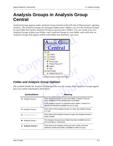## <span id="page-15-4"></span><span id="page-15-3"></span><span id="page-15-0"></span>**Analysis Groups in Analysis Group Central**

Analysis Groups appear under Analysis Group Central on the left side of Discoverant's opening window. The Analysis Groups are arranged within users' folders; you *own* the Analysis Groups in your folder but not the Analysis Groups in anyone else's folders. You can create your own Analysis Groups within your folder, copy Analysis Groups to your folder, and work only on Analysis Groups that appear within your folder and, therefore, you own.



Analysis Group Central with folders

#### <span id="page-15-2"></span><span id="page-15-1"></span>*Folder and Analysis Group Options*

<span id="page-15-7"></span><span id="page-15-5"></span>The symbols beside the Analysis Groups and the way the names of the Analysis Groups appear give you certain information about them:

<span id="page-15-8"></span><span id="page-15-6"></span>

|                                    | <b>INNAMILIAN LAI</b>                                                                                                                                                                                                                         |  |  |
|------------------------------------|-----------------------------------------------------------------------------------------------------------------------------------------------------------------------------------------------------------------------------------------------|--|--|
|                                    | Analysis Group Central with folders                                                                                                                                                                                                           |  |  |
| er and Analysis Group Options      |                                                                                                                                                                                                                                               |  |  |
| ou certain information about them: | mbols beside the Analysis Groups and the way the names of the Analysis Groups app                                                                                                                                                             |  |  |
| <b>Symbol/Name</b>                 | <b>Meaning</b>                                                                                                                                                                                                                                |  |  |
| Analysis Group 1                   | If this Analysis Group is in your own folder, it means it has not<br>been modified or it has already been committed.<br>If this Analysis Group is in someone else's folder, it means it is<br>shared and therefore available for you to copy. |  |  |
| <b>Analysis Group 1</b>            | If the name of the Analysis Group is in blue, the Analysis Group<br>is in use.                                                                                                                                                                |  |  |
| Analysis Group 1                   | If the name of the Analysis Group is in grey, the Analysis Group is<br>being created.                                                                                                                                                         |  |  |
| Analysis Group 1                   | This Analysis Group (in your folder) has been modified and not<br>yet committed or rolled back.                                                                                                                                               |  |  |
| <b>Analysis Group 1</b>            | If the name of an Analysis Group you own is bold, you have<br>marked it shared and made it available to others to copy.                                                                                                                       |  |  |
|                                    |                                                                                                                                                                                                                                               |  |  |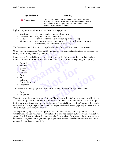| Symbol/Name      | <b>Meaning</b>                                                                                                                                                                                                                      |
|------------------|-------------------------------------------------------------------------------------------------------------------------------------------------------------------------------------------------------------------------------------|
| Analysis Group 1 | This symbol in front of the name means there was a problem<br>creating the Analysis Group, such as because of the absence of<br>data during the data range you specify. You cannot use this<br>group until you correct the problem. |

Right-click your own folder to access the following options:

- Create AG lets you to create a new Analysis Group
- Create Folder lets you to create a new folder
- Delete lets you delete the folder (except top-level folders)
- Workspaces lets you save, restore, rename and delete workspaces (for more information, see *Workspaces* on page 3-4).

You have no right-click options on top-level folders for which you have no permissions.

Create AG lets you to create a new Antaysis Group<br>
Create Folder lets you to create a new folder<br>
Delete the folder lets you delete the folder (except top-level folder<br>
Workspaces lets you save, restore, rename and delete Once you own or create an Analysis Group, you can perform certain functions on the Analysis Group within Analysis Group Central.

lysis Group, right-click it to access the following opti<br>nformation, see the explanations of these options beg<br>**example the set of the set of the set of the set of the set of the set of the set of the set of the set of the** If you *own* an Analysis Group, right-click it to access the following options for that Analysis Group (for more information, see the explanations of these options beginning on page [3-4\)](#page-17-1):

- Commit
- Rollback
- Delete
- Shared
- Rename
- Copy
- Move
- Refresh
- Use As Template
- **Properties**

**Note of the Second Second Second Second Second Second Second Second Second Second Second Second Second Second Second Second Second Second Second Second Second Second Second Second Second Second Second Second Second Second** You have the following right-click options for others' Analysis Groups they have *shared*:

- Copy
- Properties

**[dis](#page-19-0)tribution** To protect your data and the data of others, Discoverant will not allow you to work with others' Analysis Groups or someone else to work with yours. You can only work on Analysis Groups that you own, which appear in your folder under Analysis Group Central. You can either create new Analysis Groups in your folder (see *Creating an Analysis Group* on page 3-6) or *copy* someone else's Analysis Group into your folder.

<span id="page-16-1"></span><span id="page-16-0"></span>*Sharing* and *copying* Analysis Groups are critical options in Analysis Group Central. You may want to work with an Analysis Group that another user has created, but Discoverant won't allow you to. It will, however, allow that user to make their Analysis Group(s) available to other users by *sharing* them, after which you can *copy* to you own folders. For more information, see *[Shared](#page-17-4)* [on page 3-4](#page-17-4) and *Copy* [on page 3-4.](#page-17-6)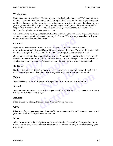#### <span id="page-17-15"></span><span id="page-17-0"></span>**Workspaces**

If you need to quit working in Discoverant and come back to it later, select **Workspaces** to save the details of your current work session, including all the Discoverant windows you have open and their placement on the computer screen, data you're working with, and all plots and results you've generated and have open. When you restore your workspace, all the windows will be reopened as they were. All plots and results will be regenerated based on the state of the Analysis Groups *when you restore your workspace.*

If you are already working in Discoverant and wish to save your current workspace and open a workspace you've previously saved, you may do this too. When you open another workspace, your current workspace will be closed.

#### <span id="page-17-9"></span><span id="page-17-1"></span>**Commit**

If you've made modifications to data in an Analysis Group and want to make those modifications permanent, select **Commit** to save those modifications. These modifications might include creating derived data, conditioning data, creating categories, and editing data.

by the anteaty working in Discoverant and wish to save your current<br>prkspace you've previously saved, you may do this too. When you op<br>ur current workspace will be closed.<br>**Dommit**<br>you've made modifications to data in an A mitted an Analysis Group, you can't undo those mode<br>
e committing your modifications, you will not lose your<br>
Halysis Groups will be in the same state as wh<br>
r to "Undo" in many other programs, except that Rol<br>
you made to Once you've committed an Analysis Group, you can't undo those modifications. If you log off Discoverant before committing your modifications, you will not lose your modifications: when you log on again, your Analysis Groups will be in the same state as when you logged off.

#### <span id="page-17-13"></span><span id="page-17-2"></span>**Rollback**

in many other programs, except that Rollba<br>data in an Analysis Group since it was last<br>lysis Group you own from Analysis Group<br>nare an Analysis Group that you own. Share **Rollback** is similar to "Undo" in many other programs, except that Rollback undoes *all* of the modifications you've made to data in an Analysis Group since it was last committed.

#### <span id="page-17-3"></span>**Delete**

Select **Delete** to delete an Analysis Group you own from Analysis Group Central.

#### <span id="page-17-14"></span><span id="page-17-4"></span>**Shared**

<span id="page-17-8"></span>Analysis Group you own from Analysis Group Central<br> **n**-share an Analysis Group that you own. *Shared* makes your Anal<br>
to *copy.*<br>
the name of an Analysis Group you own. Select **Shared** to share or un-share an Analysis Group that you own. *Shared* makes your Analysis Group available for others to *copy*.

#### <span id="page-17-12"></span><span id="page-17-5"></span>**Rename**

Select **Rename** to change the name of an Analysis Group you own.

#### <span id="page-17-10"></span><span id="page-17-6"></span>**Copy**

Select **Copy** to copy someone else's Analysis Group to your own folder. You can also copy one of your own Analysis Groups to create a new one.

#### <span id="page-17-11"></span><span id="page-17-7"></span>**Move**

Select **Move** to move the Analysis Group to another folder. The Analysis Group will retain its name. You can only move Analysis Groups you *own* and you can only move them among your own folders.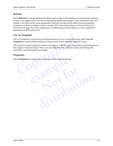#### <span id="page-18-4"></span><span id="page-18-0"></span>**Refresh**

Select **Refresh** to change global restrictions and re-query the databases to recreate the Analysis Group. You might want to do this to change the global date range of your Analysis Group, for instance, but still use the same parameters. Refresh will also recalculate *all* new parameters (categories or derived data) you have created. (For more information, see *[Recalculating New](#page-32-3)  Parameters* [on page 5-4.](#page-32-3)) The original data conditioning and derivations you have applied to parameters will be preserved.

#### <span id="page-18-1"></span>**Use As Template**

Use As Template is a great way to add parameters to your Analysis Group. Select **Use As Template** to create another Analysis Group based on the selected Analysis Group.

The Analysis Group Creation window will appear with the same restrictions and parameters as the original Analysis Group. Here you can name the new Analysis Group and change the restrictions and parameters as needed.

#### <span id="page-18-3"></span><span id="page-18-2"></span>**Properties**

Select **Properties** to display the properties of the Analysis Group.

<span id="page-18-5"></span>**Complete**<br> **Complete** is a great way to add parameters to your Analysis Gromplate to create another Analysis Group based on the selected Analysis Croup Creation window will appear with the same restrice original Analysis examples of the Analysis Group. **Not for distribution**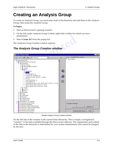## <span id="page-19-3"></span><span id="page-19-2"></span><span id="page-19-0"></span>**Creating an Analysis Group**

To create an Analysis Group, you must select leafs in the hierarchy and add them to the Analysis Group, then name the Analysis Group.

#### **To begin:**

- 1. Start on Discoverant's opening window.
- 2. On the left, under Analysis Group Central, right-click a folder for which you have permissions.
- 3. Select **Create AG** from the popup list.

#### <span id="page-19-1"></span>*The Analysis Group Creation window*

|   | $\Box$ D $\mathbf{X}$                                                                                                      |
|---|----------------------------------------------------------------------------------------------------------------------------|
| P | Global Parameters   Properties                                                                                             |
| Ø | $\Box$ Include MDE unapproved data<br>Parameter Restriction<br>Remove<br>Add<br>Show All<br>Create Analysis Group<br>Close |
|   | <b>The Analysis Group Creation window</b>                                                                                  |

Sample Analysis Group Creation window

On the left side of the window is the current Data Hierarchy. This is simply a navigational "window" to the data available through the Discoverant software. The organization and content of the data in the hierarchy is determined by your system administrator and cannot be changed by the user.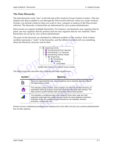#### <span id="page-20-4"></span><span id="page-20-1"></span><span id="page-20-0"></span>**The Data Hierarchy**

The data hierarchy is the "tree" on the left side of the Analysis Group Creation window. This tree displays the data available to you through the Discoverant software; when you create Analysis Groups, you include whatever data you want to view, compare or analyze in the Discoverant software. The hierarchy or hierarchies are determined by your system administrator.

Discoverant can support multiple hierarchies. For instance, one hierarchy may organize data by plant, one may organize data by product and one may organize data by raw material. These hierarchies are set up by your system administrator.

The parts of the hierarchy are identified by different symbols on the window. Each of these symbols represents a "node" in the hierarchy, and the different symbols tell you something about the hierarchy structure and its data.



<span id="page-20-7"></span><span id="page-20-6"></span><span id="page-20-5"></span><span id="page-20-3"></span><span id="page-20-2"></span>Sample Data Hierarchy in Analysis Group Creation

The following table describes the symbols and their significance:

|               | AAAHAGI MINN SAAHIIN TURKIGID<br>Dispensing<br>昏<br><b>A</b> Wonderdrug<br>… <mark>…</mark> Cellulose<br>™ Lot Number<br>Sample Data Hierarchy in Analysis Group Creation                                                                                                              |
|---------------|----------------------------------------------------------------------------------------------------------------------------------------------------------------------------------------------------------------------------------------------------------------------------------------|
|               | lowing table describes the symbols and their significance:                                                                                                                                                                                                                             |
| <b>Symbol</b> | <b>Meaning</b>                                                                                                                                                                                                                                                                         |
|               | This is an organizational node, a purely arbitrary way to separate data according to<br>the organization's needs.                                                                                                                                                                      |
|               | This indicates a Data Universe. Data universe's are critical to the data hierarchy; all<br>parameters within an Analysis Group must come from the same data universe. The<br>data universe symbol indicates data associated with the actual product.                                   |
|               | This indicates a conditional node in the hierarchy. Every other node and "leaf"<br>organized underneath this conditional node carries the same database restrictions.<br>Examples of this are conditional nodes restricted to raw materials, products,<br>processes, machine IDs, etc. |

Names of non-validated parameters are displayed in red, italic text (if your system administrator has set this option).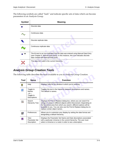The following symbols are called "leafs" and indicate specific sets of data which can become parameters in an Analysis Group.

<span id="page-21-2"></span><span id="page-21-1"></span>

| <b>Symbol</b>                                                                      |                 | <b>Meaning</b>                                                                                                                                                                                                  |  |  |
|------------------------------------------------------------------------------------|-----------------|-----------------------------------------------------------------------------------------------------------------------------------------------------------------------------------------------------------------|--|--|
|                                                                                    | Discrete data   |                                                                                                                                                                                                                 |  |  |
|                                                                                    | Continuous data |                                                                                                                                                                                                                 |  |  |
| Discrete replicate data                                                            |                 |                                                                                                                                                                                                                 |  |  |
|                                                                                    |                 | Continuous replicate data                                                                                                                                                                                       |  |  |
| М                                                                                  |                 | The M next to an icon indicates that the data was entered using Manual Data Entry<br>(see Chapter 6, Manual Data Entry). In this instance, this icon indicates discrete<br>data created with Manual Data Entry. |  |  |
|                                                                                    |                 | This data isn't valid in the current hierarchy.                                                                                                                                                                 |  |  |
| nalysis Group Creation Tools                                                       |                 |                                                                                                                                                                                                                 |  |  |
| e following table describes the tools available to you in Analysis Group Creation. |                 |                                                                                                                                                                                                                 |  |  |
| Tool                                                                               | <b>Name</b>     | <b>Function</b>                                                                                                                                                                                                 |  |  |
|                                                                                    |                 |                                                                                                                                                                                                                 |  |  |

#### <span id="page-21-5"></span><span id="page-21-0"></span>*Analysis Group Creation Tools*

<span id="page-21-3"></span>The following table describes the tools available to you in Analysis Group Creation.

<span id="page-21-4"></span>

| ysis Group Creation Tools                                                     |                                                                  |                                                                                                                                                                                                                                                                                                                             |  |
|-------------------------------------------------------------------------------|------------------------------------------------------------------|-----------------------------------------------------------------------------------------------------------------------------------------------------------------------------------------------------------------------------------------------------------------------------------------------------------------------------|--|
| lowing table describes the tools available to you in Analysis Group Creation. |                                                                  |                                                                                                                                                                                                                                                                                                                             |  |
| Tool                                                                          | <b>Name</b>                                                      | <b>Function</b>                                                                                                                                                                                                                                                                                                             |  |
| P                                                                             | Help                                                             | Displays help for the window in which you're working.                                                                                                                                                                                                                                                                       |  |
|                                                                               | Toggle to<br><b>Names</b><br>$-or-$<br>Toggle to<br>Descriptions | Toggles the text in the hierarchy between descriptions and names.<br>The default is names.                                                                                                                                                                                                                                  |  |
|                                                                               | Search<br><b>Hierarchy Tree</b>                                  | Displays the Find & Replace dialog box, where you can search for<br>strings or values in different objects within Discoverant. Depending on<br>the functional area from which you search, different options will be<br>available to you. You can also use the Find & Replace dialog box to<br>replace certain object names. |  |
| ð                                                                             | Preferences                                                      | Allows you to customize your display by setting the date format and<br>designating a default hierarchy.                                                                                                                                                                                                                     |  |
| 侖                                                                             | View<br>Parameter Set<br>Description                             | Displays the Parameter Set Name and Date descriptions associated<br>with a particular Universe in the current hierarchy. The user must<br>select a Universe or a node in order to see a description.                                                                                                                        |  |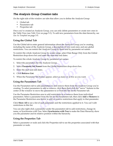#### <span id="page-22-0"></span>*The Analysis Group Creation tabs*

On the right side of the window are tabs that allow you to define the Analysis Group:

- Global tab
- Parameters tab
- <span id="page-22-12"></span><span id="page-22-11"></span><span id="page-22-10"></span><span id="page-22-4"></span>• Properties tab

Once you've created an Analysis Group, you can only delete parameters or create new ones in the Table View (see *Table View* [on page 5-1\)](#page-29-3). To add new parameters from the data hierarchy, [see](#page-18-1)  *Use As Template* on page 3-5.

#### <span id="page-22-6"></span><span id="page-22-1"></span>**Using the Global Tab**

*E* As *Template* on page 3-5.<br> **Complate** Copyrighted Clobal Tab<br> **Complate** Clobal Tab<br> **Complate** Clobal tab to enter general information about the Analysis Grou<br>
Cluding the name of the Analysis Group, a description (i Use the Global tab to enter general information about the Analysis Group you're creating, including the name of the Analysis Group, a description (if you want one), and any global restrictions. You can restrict the Analysis Group by dates and by parameter set names.

To restrict the whole Analysis Group by a date range, select Date Range Only from the Global Restriction drop-down box and enter the start and end dates.

To restrict the whole Analysis Group by parameter set names:

- 1. Select the parameters for the Analysis Group.
- Franch Source and enter the start and end dates.<br>
Explicit Analysis Group by parameter set names:<br>
Experiences for the Analysis Group.<br> **er Set Names** from the Global Restriction drop-down<br>
and end dates.<br> **List.**<br> **Experi** 2. Select **Parameter Set Names** from the Global Restriction drop-down box.
- 3. Enter the start and end dates.
- 4. Click **Retrieve List**.
- 5. When the Parameter Set Names appear, select as many or as few as you want.

#### <span id="page-22-9"></span><span id="page-22-7"></span><span id="page-22-2"></span>**Using the Parameters Tab**

FREE CONSIDERS AND THE PROPERTY OF A STREAM OF THE PROPERTY OF A STREAM OF THE PROPERTY OF THE PARTICLE OF THE PARTICLE OF THE PARTICLE OF THE PARTICLE OF THE PARTICLE OF THE PARTICLE OF THE PARTICLE OF THE PARTICLE OF THE ext Names appear, select as many or as few as you want.<br> **Tab**<br>
add parameters to and remove them from the Analysis Group you<br>
ers to add or remove, click them then click the "move" buttons in<br>
ove the parameters to or fro Use the Parameters tab to add parameters to and remove them from the Analysis Group you're creating. To select parameters to add or remove, click them then click the "move" buttons in the center of the window to move the parameters to or from the list on the Parameter tab.

Use the Parameter Restriction area to add restrictions to or remove them from individual parameters. Select a parameter from the list on the Parameters tab, then click **Add** or **Remove** in the Parameter Restriction area below to add or remove restrictions that apply to that parameter.

Click **Show All** to see a list of each parameter and the restrictions applied to it. You can't edit restrictions in this list.

<span id="page-22-13"></span>You can also right-click a parameter under the parameters tab to add restrictions, change its name, or Synchronize with Tree. Select **Synchronize with Tree** to make the Data Hierarchy show you the parameter and its relative position within the hierarchy.

#### <span id="page-22-8"></span><span id="page-22-3"></span>**Using the Properties Tab**

<span id="page-22-5"></span>Select a parameter or node and click the Properties tab to see the properties associated with that parameter or node.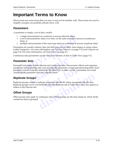## <span id="page-23-0"></span>**Important Terms to Know**

Discoverant uses some terms that you may or may not be familiar with. These terms are used to simplify concepts you probably already know well.

#### <span id="page-23-7"></span><span id="page-23-1"></span>*Parameters*

A parameter is simply a set of data, usually

- a single measurement on a material or process (discrete data),
- a set of measurements, taken over time, on the same material or process (continuous data), or
- multiple measurements of the same type taken on a material or process (replicate data).

Parameters are usually numeric data, but they may also be dates, time stamps or string values (called Categories—for more information, see *Creating Categories* on page 3-12 and *[Categories](#page-31-3)* on [page 5-3\)](#page-31-3). For more information, see *Data Classes* on page 4-1.

Continuous data parameters can be viewed as columns of data in Table View ([page 5-1\)](#page-29-3).

#### <span id="page-23-6"></span><span id="page-23-2"></span>*Parameter Sets*

• a single measurement on a ma[te](#page-25-2)rial or process (discrete data),<br>
• a set of measurements, taken over time, on the same material or<br>
data), or<br>
• multiple measurements of the same type taken on a material or<br> **complement i efs**<br>**efs**<br>**effs**<br>**example 1** and **example 1** and **example 1** and **example 1** and **example 1** and **example 1** and **example 1** and **example 1** and **example 1** and **example 1** and **example 1** and **example 1** and **example 1** Parameter sets apply to both discrete and continuous data. Discoverant collects and organizes parameters into parameter sets; each set typically represents a single manufacturing batch. Such parameter sets are typically defined by the batch I.D.; in other words, a parameter set would contain all the parameter data for a specific batch.

#### <span id="page-23-8"></span><span id="page-23-3"></span>*Replicate Groups*

s; each set typically represents a single manter<br>fined by the batch I.D.; in other words, a particle batch.<br>of a specific batch.<br>alicate parameter and the ID values associated in the Discrete Replicate tab of Table View replicate parameter and the ID values associated with the data.<br>
ewed in the Discrete Replicate tab of Table View; they also appear<br>
o continuous data. Offset groups are the time stamp by which all<br>
d. Replicate groups contain a replicate parameter and the ID values associated with the data. Replicate groups can be viewed in the Discrete Replicate tab of Table View; they also appear as folders in the Discrete tab.

#### <span id="page-23-5"></span><span id="page-23-4"></span>*Offset Groups*

Offset groups only apply to continuous data. Offset groups are the time stamp by which all the continuous data is grouped.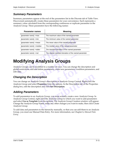#### <span id="page-24-9"></span><span id="page-24-0"></span>*Summary Parameters*

Summary parameters appear at the end of the parameters list in the Discrete tab of Table View. Discoverant automatically creates these parameters for your convenience. Each represents a summary value calculated from the corresponding continuous or replicate parameter in the Analysis Group. These parameters have the following names:

|                                                                                                                                                                                                                            | <b>Parameter names</b>    | <b>Meaning</b>                                         |  |  |
|----------------------------------------------------------------------------------------------------------------------------------------------------------------------------------------------------------------------------|---------------------------|--------------------------------------------------------|--|--|
|                                                                                                                                                                                                                            | [parameter name] ->max    | The maximum value of the named parameter               |  |  |
|                                                                                                                                                                                                                            | [parameter name] ->min    | The minimum value of the named parameter               |  |  |
|                                                                                                                                                                                                                            | [parameter name] ->mean   | The mean value of the named parameter                  |  |  |
|                                                                                                                                                                                                                            | [parameter name] ->median | The median value of the named parameter                |  |  |
|                                                                                                                                                                                                                            | [parameter name] ->stdev  | The standard deviation of the named parameter          |  |  |
|                                                                                                                                                                                                                            | [parameter name] ->rsd    | The relative standard deviation of the named parameter |  |  |
| <b>Nodifying Analysis Groups</b><br>nalysis Groups can be modified in a number of ways. You can change the description<br>bbal restrictions, add and delete parameters, create new parameters, condition param<br>it data. |                           |                                                        |  |  |

## <span id="page-24-1"></span>**Modifying Analysis Groups**

<span id="page-24-6"></span>**example 2013 Change 2014**<br> **example 2014 Discrete Start Constrained Analysis Group Ce**<br> **example 2025**<br> **example 2025 Change 2025**<br> **example 2025 Change 2026**<br> **example 2026**<br> **example 2026**<br> **example 2026**<br> **example 2026** Analysis Groups can be modified in a number of ways. You can change the description and global restrictions, add and delete parameters, create new parameters, condition parameters, and edit data.

#### <span id="page-24-7"></span><span id="page-24-5"></span><span id="page-24-2"></span>*Changing the Description*

**Note that the comparison of the comparison of the parameters, control periodic parameters, control periodic control in Analysis Group Central periodic Set Description.<br>
The Description and click Set Description.** You can change an Analysis Group's description in Analysis Group Central. Right-click the Analysis Group and select **Properties** from the options. In the Description tab of the Properties dialog box, edit the description and click **Set Description**.

#### <span id="page-24-8"></span><span id="page-24-4"></span><span id="page-24-3"></span>*Adding Parameters*

**cription**<br>
is Group's description in Analysis Group Central. Right-click the<br> **Properties** from the options. In the Description tab of the Propert<br>
violon and click Set Description.<br>
S<br>
ralysis Group, you must actually cr To add parameters to an Analysis Group, you must actually create a new Analysis Group. In Analysis Group Central, right-click the Analysis Group to which you want to add parameters and select **Use as Template** from the options. The Analysis Group Creation window will appear. Change the Analysis Group Name, make any other changes you want to make, then click Create Analysis Group.

To add data and parameters to the hierarchy manually, so that you can add them to an Analysis Group, you must use Manual Data Entry. For more information, [see Chapter 6,](#page-39-2) *Manual Data [Entry](#page-39-2)*.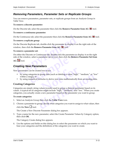#### <span id="page-25-9"></span><span id="page-25-0"></span>*Removing Parameters, Parameter Sets or Replicate Groups*

You can remove parameters, parameter sets, or replicate groups from an Analysis Group in Table View.

#### <span id="page-25-7"></span>**To remove a discrete parameter:**

On the Discrete tab, select the parameter then click the **Remove Parameter from AG**  $\ddot{\mathbf{\mathcal{F}}}$  tool.

#### <span id="page-25-5"></span>**To remove a continuous parameter:**

On the Continuous tab, select the parameter then click the **Remove Parameter from AG**  $\ddot{\mathbf{x}}$  tool.

#### <span id="page-25-8"></span>**To remove a replicate group:**

**Example 1** at the Continuous tab, select the parameter then click the **Remove Parameter**<br> **Computer 1** at the Discrete Replicate tab, double-click the parameter to display it of<br> **Computer 1** at the **Remove Parameter from** On the Discrete Replicate tab, double-click the parameter to display it on the right side of the window, then click the **Remove Parameter from AG X** tool.

#### **To remove a parameter set:**

On either the Discrete or Continuous tab, double-click the parameter to display it on the right side of the window, select a parameter set (a row), then click the **Remove Parameter Set from** 

AG<sup>N</sup> tool.

#### <span id="page-25-6"></span><span id="page-25-1"></span>*Creating New Parameters*

New parameters can be created two ways:

- <span id="page-25-10"></span>rete or Commutious tab, double-crick the parameter to<br>v, select a parameter set (a row), then click the **Remoters**<br>**and the created two ways:**<br>tegories to group data (such as labeling a value "highnge), or<br>umerical formula • by using categories to group data (such as labeling a value "high," "medium," or "low" within a range), or
- <span id="page-25-4"></span>• by using numerical formulas to derive new data mathematically from an existing data.

#### <span id="page-25-3"></span><span id="page-25-2"></span>**Creating Categories**

d two ways:<br>group data (such as labeling a value "high,"<br>mulas to derive new data mathematically fr<br>alues (words) used to group a discrete para<br>ies might include "high," "medium," and "l to group data (such as labeling a value "high," "medium," or "lo<br>formulas to derive new data mathematically from an existing da<br>ig values (words) used to group a discrete parameter based on its<br>gories might include "high," Categories are simply string values (words) used to group a discrete parameter based on its values. A typical set of categories might include "high," "medium," and "low." When you create categories, you actually create a new parameter based on the parameter you want to group.

#### **To create categories:**

- 1. Select an Analysis Group then click the **Table View** icon.
- 2. Choose a parameter to group, decide what categories you want to assign to what values, then click the **New**  $\Box$  tool.

The Create a New Discrete Parameter dialog box appears.

3. Type a name for the new parameter, select the Create Parameter Values by Category option, then click **OK**.

The Category Create dialog box appears.

4. Use the options and fields on this dialog box to select the parameter on which you want to base your categories and the definitions of the categories you want to create.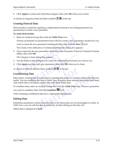5. Click **Apply** to create each individual category, then click **OK** when you're done.

A column of categorical data has these symbols  $\boxplus$   $\boxplus$  at the top.

#### <span id="page-26-5"></span><span id="page-26-3"></span><span id="page-26-0"></span>**Creating Derived Data**

Derived data is created by applying a mathematical formula to an existing parameter (or parameters) to create a new parameter.

#### **To create derived data:**

1. Select an Analysis Group then click the **Table View** icon.

Choose a parameter (or parameters) from which to create a new parameter, decide how you

want to create the new parameter (mathematically), then click the **New**  $\Box$  tool.

The Create a New [Discrete or Continuous] Parameter dialog box appears.

Select an Analysis Group then click the **Table View** icon.<br>Choose a parameter (or parameters) from which to create a new parameter (mathematically), then click the **N**<br>The Create a New [Discrete or Continuous] Parameter d 2. Type a name for the new parameter, select the Create Parameter Values by Numeric Formula option, then click **OK**.

The Category Create dialog box appears.

- 3. Use the fields on this dialog box to create the mathematical formula you want to use.
- 4. Click **Apply** to create each new parameter, then click **OK** when you're done.

A column of derived data has these symbols  $\mathbb{H}$   $\mathbb{H}$  at the top.

#### <span id="page-26-4"></span><span id="page-26-1"></span>**Conditioning Data**

Create dialog box appears.<br>
on this dialog box to create the mathematical formula<br>
example a create each new parameter, then click **OK** when you<br>
ed data has these symbols  $\Box$   $\Box$  at the top.<br> **Data**<br>
ng data in a parame these symbols **H H** at the top.<br>
parameter is missing data points or contain<br>
data in Table View to replace these missing<br>
poutlier data with more useful data.<br>
halysis Group then click the **Table View** ico<br>
ick the **Con** in a parameter is missing data points or contains outlier data that this data in Table View to replace these missing data points (null d<br>ace outlier data with more useful data.<br>1 Analysis Group then click the **Table View** Many times, existing data in a parameter is missing data points or contains outlier data that isn't useful. You can condition this data in Table View to replace these missing data points (null data) with useful data or to replace outlier data with more useful data.

To condition data, select an Analysis Group then click the **Table View** icon. Choose a parameter

you want to condition, then click the **Condition <b>品** tool.

Cells containing conditioned data have a light green background.

#### <span id="page-26-6"></span><span id="page-26-2"></span>**Editing Data**

Sometimes parameters contain incorrect data or the data points are not meaningful or useful. In Table View, you can edit the data as needed by double-clicking on the data cell.

Edited data is displayed in **bold**.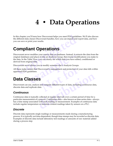## <span id="page-27-9"></span><span id="page-27-8"></span>**4 • Data Operations**

In this chapter you'll learn how Discoverant helps you meet FDA guidelines. We'll also discuss the different data classes Discoverant handles, how you can import and export data, and how you can save or print your results.

## <span id="page-27-1"></span>**Compliant Operations**

<span id="page-27-0"></span>this chapter you'll learn how Discoverant helps you meet FDA guide<br>e different data classes Discoverant handles, how you can import and<br>u can save or print your results.<br>Compliant Operations<br>of the original databases and p modifies your source data of databases. Instead, it e.<br>and places it into an Analysis Group, then tracks mo<br>ble View, you can clearly see which data you have ed<br>inal data.<br>allows you to modify someone else's Analysis Group Discoverant never modifies your source data or databases. Instead, it extracts the data from the original databases and places it into an Analysis Group, then tracks modifications you make to the data. In the Table View, you can clearly see which data you have edited, conditioned or derived from original data.

Discoverant never allows you to modify someone else's Analysis Groups.

**Notify Strandard Strandard Strandard Strandard Compare different types of data, includion** All these make certain that Discoverant's management and protection of your data falls within approved FDA guidelines.

## <span id="page-27-2"></span>**Data Classes**

Discoverant can use, analyze and compare different types of data, including continuous data, discrete data and replicate data.

#### <span id="page-27-10"></span><span id="page-27-6"></span><span id="page-27-3"></span>*Continuous*

<span id="page-27-5"></span>Example of data, including continuous data data.<br>
We collected at regular intervals over a certain period of time for a<br>
a process. Continuous data—also known as time-series data—alw<br>
d with each reading or measurement. Ex Continuous data is typically collected at regular intervals over a certain period of time for a particular measurement of a process. Continuous data—also known as time-series data—always has a time stamp associated with each reading or measurement. Examples of continuous data include regular temperature or moisture content readings taken by sensors on a PLC.

#### <span id="page-27-7"></span><span id="page-27-4"></span>*Discrete*

Discrete data represents single readings or measurements made during a manufacturing process. It is typically not time-dependent, though time stamps may be recorded as discrete data. Examples of discrete data include laboratory test readings or amounts of raw material added during a process step.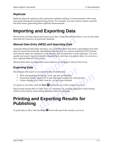#### <span id="page-28-9"></span><span id="page-28-0"></span>*Replicate*

Replicate (discrete replicate) data represents multiple readings or measurements of the same type made during the manufacturing process. For example, you may need to repeat a specific test three times, generating three replicate measurements.

## <span id="page-28-1"></span>**Importing and Exporting Data**

Discoverant can both import and export your data. Using Manual Data Entry, you can also enter data that isn't stored in an electronic database.

#### <span id="page-28-16"></span><span id="page-28-15"></span><span id="page-28-8"></span><span id="page-28-6"></span><span id="page-28-2"></span>*Manual Data Entry (MDE) and Importing Data*

scoverant can both import and export your data. Using Manual Data<br>ta that isn't stored in an electronic database.<br>**Computer Contains and Data Entry (MDE) and Importing Data**<br>ting the Manual Data Entry function, you can bot imported data by reimporting it; each time you imported data Group.<br>
y is explained in more detail in see Chapter 6, *Manual*<br> **ata**<br>
xport or save three kinds of information:<br>
graphical results (in .wmf, .jpg and .gif for Using the Manual Data Entry function, you can both import data from a spreadsheet and enter data not stored electronically. Spreadsheet data must be in a comma-separated (CSV) format, and must be either all continuous or all discrete, and all replicates or non-replicates. You can't update previously imported data by reimporting it; each time you import data, it is saved as a new, separate Manual Data Group.

<span id="page-28-17"></span>Manual Data Entry is explained in more detail in see Chapter 6, *Manual Data Entry*.

#### <span id="page-28-7"></span><span id="page-28-3"></span>*Exporting Data*

Discoverant will export or save three kinds of information:

- <span id="page-28-21"></span><span id="page-28-13"></span><span id="page-28-12"></span><span id="page-28-10"></span>• Plots and graphical results (in .wmf, .jpg and .gif formats)
- <span id="page-28-20"></span><span id="page-28-18"></span><span id="page-28-11"></span><span id="page-28-5"></span>• Numerical results, such as PCA and regression analysis (in .htm format)
- <span id="page-28-14"></span>• Values displayed in Table View (in .csv and .htm formats)

<span id="page-28-19"></span><span id="page-28-4"></span>To export or save files, click the **Save H** tool at the top of the window you're in.

e three kinds of information:<br>ults (in .wmf, .jpg and .gif formats)<br>h as PCA and regression analysis (in .htm fo<br>ble View (in .csv and .htm formats)<br>e **Save d** tool at the top of the window yo<br>ble View to a standard .csv ( Discoverant exports files in Table View to a standard .csv (comma-separated value) format, which can be read by most leading database software packages.

## results (in .wmf, .jpg and .gif formats)<br>such as PCA and regression analysis (in .htm format)<br>1 Table View (in .csv and .htm formats)<br>k the **Save L** tool at the top of the window you're in.<br>1 Table View to a standard .csv **Printing and Exporting Results for Publishing**

To print data or files, click the **Print**  $\mathbf{F}$  tool at the top of the window you're in.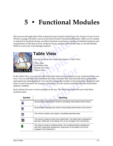## <span id="page-29-4"></span><span id="page-29-2"></span><span id="page-29-0"></span>**5 • Functional Modules**

e icons on the right side of the Analysis Group Central window (see *T*<br> *Compare 2-4*) allow you to access Discoverant's Functional Modu<br>
selected an Analysis Group, use these functions to perform a variety comparisons on The icons on the right side of the Analysis Group Central window (see *[The Analysis Group Central](#page-11-2)  Window* on page 2-4) allow you to access Discoverant's Functional Modules. After you've created or selected an Analysis Group, use these functions to perform a variety of statistical analyses and comparisons on the data in your Analysis Group, prepare plots of the data, or use the Results Paths to work your way through analyses.

<span id="page-29-1"></span>

## <span id="page-29-5"></span><span id="page-29-3"></span>**Table View**

You can perform four major functions in Table View:

- •View data
- •Condition data
- •Create new data
- •Export data

You can perform four major functions in Table V<br>
View data<br>
•Create new data<br>
•Export data<br>
•Export data<br> **export data**<br>
•Export data<br> **export data**<br>
•Export data<br> **export data**<br> **export data**<br> **export data**<br> **export data** The Mata Contract that the individual data and parameters in an andition the data, or create new data derive . You can also change the number of decimation meric parameters, if your system administresymbols at the top. The In the Table View, you can view the individual data and parameters in any Analysis Group you own. You can edit that data, condition the data, or create new data derived from a parameter, and export any data displayed. You can also change the number of decimal places displayed and select a unit of measure for numeric parameters, if your system administrator has made these options available.

<span id="page-29-6"></span>Each column has one or more symbols at the top. The following table tells you what these symbols mean.

| s available.  | able View, you can view the individual data and parameters in any Analysis Group<br>ou can edit that data, condition the data, or create new data derived from a paramete<br>port any data displayed. You can also change the number of decimal places displayed<br>unit of measure for numeric parameters, if your system administrator has made these |
|---------------|---------------------------------------------------------------------------------------------------------------------------------------------------------------------------------------------------------------------------------------------------------------------------------------------------------------------------------------------------------|
| s mean.       | blumn has one or more symbols at the top. The following table tells you what these                                                                                                                                                                                                                                                                      |
| <b>Symbol</b> | <b>Meaning</b>                                                                                                                                                                                                                                                                                                                                          |
| Δ             | All parameters displayed are sorted in ascending order based on this column.                                                                                                                                                                                                                                                                            |
|               | All parameters displayed are sorted in descending order based on this column.                                                                                                                                                                                                                                                                           |
| 畺             | This column contains only original, unmodified parameter data.                                                                                                                                                                                                                                                                                          |
|               | This column contains at least some edited data. The edited data is displayed in<br>bold type. (Bold type is the default; this can be changed in the Customizer.)                                                                                                                                                                                        |
|               | This column contains conditioned data. The conditioned data is displayed in<br>cells with a light green background. (Light green is the default; this can be<br>changed in the Customizer.)                                                                                                                                                             |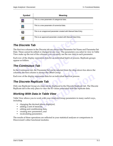| Symbol | <b>Meaning</b>                                                         |
|--------|------------------------------------------------------------------------|
|        | This is a new parameter of categorical data.                           |
|        | This is a new parameter of <i>numerical</i> data.                      |
| 憜      | This is an <i>unapproved</i> parameter created with Manual Data Entry. |
| 圈      | This is an <i>approved</i> parameter created with Manual Data Entry.   |

#### <span id="page-30-5"></span><span id="page-30-0"></span>*The Discrete Tab*

This is an *approved* parameter created with Manual Data E<br> **Compare Alternative Compare Start Alternative Compare Start two columns in the Discrete tab are always the Parameter Set M<br>
Ite. These cannot be edited or change** The first two columns in the Discrete tab are always the Parameter Set Name and Parameter Set Date. These cannot be edited or changed in any way. The parameters you select to view in Table View make up the rest of the columns; you can easily see the raw data in each parameter.

<span id="page-30-4"></span>Each row of the display represents data for an individual batch or process. Replicate groups appear as folders.

#### <span id="page-30-1"></span>*The Continuous Tab*

rest of the columns, you can easily see the raw data is<br>splay represents data for an individual batch or proce<br>**OUS Tab**<br>tab, the Parameter Set can be selected from the drop-<br>column is always the Offset Group.<br>splay repres ameter Set can be selected from the drop-do<br>ways the Offset Group.<br>sents data for an individual batch or process<br>**Note Tab**<br>time can be displayed in the Discrete Repli<br>to view the ID values associated with the re In the Continuous tab, the Parameter Set can be selected from the drop-down box above the columns; the first column is always the Offset Group.

Each row of the display represents data for an individual batch or process.

#### <span id="page-30-2"></span>*The Discrete Replicate Tab*

**Example 3**<br> **icate Tab**<br> **a** a time can be displayed in the Discrete Replicate tab. The Discrete to view the ID values associated with the replicate data.<br> **a in Table View**<br>
work with your Analysis Group parameters in ma Only one Replicate Group at a time can be displayed in the Discrete Replicate tab. The Discrete Replicate tab is the only place to view the ID values associated with the replicate data.

#### <span id="page-30-3"></span>*Working With Data in Table View*

Table View allows you to work with your Analysis Group parameters in many useful ways, including

- changing the decimal places displayed,
- adding a unit of measure,
- editing and conditioning data,
- creating new parameters, and
- recalculating parameters.

The results of these operations are reflected in your statistical analyses or comparisons in Discoverant's other functional modules.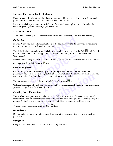#### <span id="page-31-5"></span><span id="page-31-4"></span><span id="page-31-0"></span>**Decimal Places and Units of Measure**

If your system administrator makes these options available, you may change these for numerical parameters. Changes will appear in all the functional modules.

<span id="page-31-10"></span>Either right-click a parameter on the left side of the window or right-click a column heading. Select **Properties**, make the changes, and click **OK**.

#### <span id="page-31-1"></span>**Modifying Data**

Table View is the only place in Discoverant where you can edit or condition data for analysis.

#### <span id="page-31-9"></span>*Editing Data*

In Table View, you can edit individual data cells. You may want to do this when conditioning the entire parameter is too broad an operation.

ble View is the only place in Discoverant where you can edit or conditing **Data**<br> **Computer Table View, you can edit individual data cells. You may want to do the entire parameter is too broad an operation.**<br> **Columber ent** To edit individual data cells, double-click them or select them and click the **Edit** tool. Edited data will be displayed in bold type. (Bold type is the default; you can change this in the Customizer.)

Derived data or categories can be edited after they are created. Select the column of derived data

or categories, then click the **Edit** tool.

#### <span id="page-31-7"></span>*Conditioning Data*

**Example 2** tool.<br> **example 4** tool.<br> **example 4** tool.<br> **example 4** tool.<br> **example 4** tool.<br> **example 4** tool.<br> **example, replace all the null values in the part outlier" data and replace it with a specific value.<br>
selec** oosing and applying rules to modify specifi<br>nple, replace all the null values in the param<br>a and replace it with a specific value.<br>umn, then click the **Condition**  $\frac{1}{\sqrt{2\pi}}$  tool.<br>lata will have a light green backgroun Conditioning data involves choosing and applying rules to modify specific data in the parameter. You could, for example, replace all the null values in the parameter with a mean. You could also define "outlier" data and replace it with a specific value.

To condition data, select a column, then click the **Condition Ex** tool.

Cells containing conditioned data will have a light green background. (Light green is the default; you can change this in the Customizer.)

#### <span id="page-31-2"></span>**Creating New Parameters**

Example, replace all the null values in the parameter with a mean.<br>
data and replace it with a specific value.<br>
column, then click the **Condition**  $\frac{1}{\sqrt{2\pi}}$  tool.<br>
Ed data will have a light green background. (Light gr Two kinds of new parameters can be created in Table View: derived data and categories. (For more information on either of these, see *Creating Derived Data* on page 3-13 or *[Creating Categories](#page-25-3)* [on page 3-12.](#page-25-3)) Create new parameters from Discrete Replicate data in the Discrete tab.

To create a new parameter, click the **New**  $\Box$  tool.

#### <span id="page-31-8"></span>*Derived Data*

Derived data is a new parameter created from applying a mathematical formula to existing parameters.

#### <span id="page-31-6"></span><span id="page-31-3"></span>*Categories*

Categories are textual labels describing an existing parameter.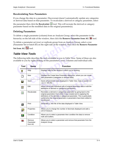#### <span id="page-32-8"></span><span id="page-32-3"></span><span id="page-32-0"></span>**Recalculating New Parameters**

If you change the data in a parameter, Discoverant doesn't automatically update any categories or derived data based on that parameter. To recalculate a derived or category parameter, select

the parameter then click the **Recalculate the less in the series of the derived or category** parameter based on the modified data in the original parameter(s).

#### <span id="page-32-1"></span>**Deleting Parameters**

<span id="page-32-5"></span>To delete a single parameter (column) from an Analysis Group, select the parameter in the hierarchy on the left side of the window, then click the **Remove Parameter from AG**  $\mathbb{X}$  tool.

To delete a parameter set (row) or replicate group from an Analysis Group, select a row (Parameter Set or batch ID) on the right side of the window, then click the **Remove Parameter** 

**Set from AG**  $\frac{1}{2}$  tool.

#### <span id="page-32-11"></span><span id="page-32-10"></span><span id="page-32-6"></span><span id="page-32-4"></span><span id="page-32-2"></span>*Table View Tools*

<span id="page-32-9"></span><span id="page-32-7"></span>

|                          |                                                   | delete a single parameter (column) from an Analysis Group, select the parameter in the<br>erarchy on the left side of the window, then click the <b>Remove Parameter from AG</b>                                                                                                                            |
|--------------------------|---------------------------------------------------|-------------------------------------------------------------------------------------------------------------------------------------------------------------------------------------------------------------------------------------------------------------------------------------------------------------|
|                          |                                                   | delete a parameter set (row) or replicate group from an Analysis Group, select a row<br>arameter Set or batch ID) on the right side of the window, then click the Remove Paramet                                                                                                                            |
|                          | <b>t</b> from AG $\ddot{\ddot{\mathbf{N}}}$ tool. |                                                                                                                                                                                                                                                                                                             |
|                          | able View Tools                                   |                                                                                                                                                                                                                                                                                                             |
|                          |                                                   | e following table describes the tools available to you in Table View. Some of these are also<br>ailable to you by right-clicking on the parameters, rows, columns and individual cells.                                                                                                                     |
| <b>Tool</b>              | <b>Name</b>                                       | <b>Function</b>                                                                                                                                                                                                                                                                                             |
| P                        | Help                                              | Displays help for the window in which you're working.                                                                                                                                                                                                                                                       |
| М                        | <b>New</b>                                        | Displays the Create New Parameter dialog box, where you can create<br>new parameters (categories or derived data).                                                                                                                                                                                          |
| 담                        | Save                                              | Saves all parameter data displayed in Table View. Data is saved in a<br>.csv or .htm file.                                                                                                                                                                                                                  |
| Ø                        | Edit                                              | Allows you to edit individual cells of original parameter data or edit the<br>definitions of derived or categorical parameters.                                                                                                                                                                             |
| 串                        | Recalculate                                       | Recreates a derived or categorical parameter by going back to the<br>original parameters from which it was created and re-applying the<br>definitions of the derived or categorical parameter. This is particularly<br>useful when the original parameter or parameters have been edited or<br>conditioned. |
| 4                        | Print                                             | Generates a .htm file of the data displayed in Table View.                                                                                                                                                                                                                                                  |
| இ                        | Properties                                        | Allows you to change the number of decimals displayed and add a<br>unit of measure.                                                                                                                                                                                                                         |
| 턚                        | Condition                                         | Allows you to select a parameter then condition the data to remove<br>nulls and outliers.                                                                                                                                                                                                                   |
| $\overline{\phantom{a}}$ | Remove<br>Parameter<br>from AG                    | Allows you to select a parameter and remove that parameter from the<br>Analysis Group.                                                                                                                                                                                                                      |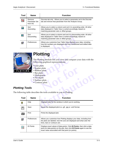| Tool              | <b>Name</b>                        | <b>Function</b>                                                                                                                                                                       |
|-------------------|------------------------------------|---------------------------------------------------------------------------------------------------------------------------------------------------------------------------------------|
| $\mathbf{\Sigma}$ | Remove<br>Parameter Set<br>from AG | Discrete tab only - Allows you to select a parameter set in the Discrete<br>tab and remove that parameter from the Analysis Group.                                                    |
| 묩                 | Sort<br>Ascending                  | Allows you to select a column and sort it in ascending order. All other<br>data displayed in Table View is sorted accordingly, based on<br>matching parameter sets or offset groups.  |
| 담                 | Sort<br>Descending                 | Allows you to select a column and sort it in descending order. All other<br>data displayed in Table View is sorted accordingly, based on<br>matching parameter sets or offset groups. |
| q                 | Preferences                        | Allows you customize how Table View displays your data, including<br>how the numbers are displayed and how conditioned and edited data<br>is displayed.                               |
|                   |                                    | <b>Plotting</b>                                                                                                                                                                       |
| L O<br>л<br>т     | • Line plots                       | The Plotting module lets you view and compare your data with the<br>following graphical representations:<br>• Scatter plots                                                           |

<span id="page-33-0"></span>

## <span id="page-33-15"></span><span id="page-33-7"></span>**Plotting**

The Plotting module lets you view and compare<br>
following graphical representations:<br>
• Line plots<br>
• Scatter plots<br>
• Ribbon plots<br>
• Histograms<br>
• Pie charts<br>
• Surface plots<br>
• Contour plots The Plotting module lets you view and compare your data with the following graphical representations:

- <span id="page-33-9"></span>• Line plots
- <span id="page-33-12"></span><span id="page-33-11"></span>• Scatter plots
- <span id="page-33-2"></span>• Ribbon plots
- <span id="page-33-8"></span>• Bar plots
- <span id="page-33-10"></span>• Histograms
- <span id="page-33-13"></span>• Pie charts
- <span id="page-33-3"></span>• Surface plots
- <span id="page-33-6"></span><span id="page-33-5"></span><span id="page-33-4"></span>• Contour plots

#### <span id="page-33-16"></span><span id="page-33-14"></span><span id="page-33-1"></span>*Plotting Tools*

r plots<br>
ots<br>
grams<br>
arts<br>
wr plots<br>
wr plots<br>
the tools available to vou in Plotting The following table describes the tools available to you in Plotting.

| ing Tools   | · Histograms<br>• Pie charts | • Surface plots<br>• Contour plots<br>lowing table describes the tools available to you in Plotting.                                                                                                                 |
|-------------|------------------------------|----------------------------------------------------------------------------------------------------------------------------------------------------------------------------------------------------------------------|
| <b>Tool</b> | <b>Name</b>                  | <b>Function</b>                                                                                                                                                                                                      |
| ?           | Help                         | Displays help for the window in which you're working.                                                                                                                                                                |
|             | Save                         | Saves the displayed plot to a .gif, .jpg or .wmf format.                                                                                                                                                             |
|             | Print                        | Prints the displayed plot.                                                                                                                                                                                           |
| ð           | Preferences                  | Allows you customize how Plotting displays your data, including how<br>the plots are labeled, how the axis are displayed and what color the<br>lines, bars or contours are.                                          |
|             | <b>ID Points</b>             | Displays exact values of data points. Click <b>ID Points</b> , then click a data<br>point (or data points) on the plot, then click ID Points again to see the<br>exact value associated with that point (or points). |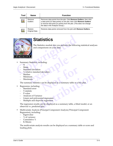| Tool | <b>Name</b>               | <b>Function</b>                                                                                                                                                                                                                                            |
|------|---------------------------|------------------------------------------------------------------------------------------------------------------------------------------------------------------------------------------------------------------------------------------------------------|
|      | Remove<br><b>Outliers</b> | Removes data points from the plot. Click Remove Outliers, then click<br>a data point (or data points) on the plot, then click Remove Outliers<br>to remove that point (or points) from the plot. (This does not change<br>the data in the Analysis Group.) |
|      | Restore<br>Original Data  | Restores data points removed from the plot with <b>Remove Outliers</b> .                                                                                                                                                                                   |

<span id="page-34-0"></span>

## <span id="page-34-4"></span>**Statistics**

The Statistics module lets you perform the following statistical analyses and comparisons on your data:

- <span id="page-34-24"></span><span id="page-34-13"></span><span id="page-34-8"></span>• Summary Statistics, including:
	- $\overline{\mathbf{N}}$
	- Mean
	- Standard deviation
	- % relative standard deviation
	- **Median**
	- Minimum
	- Maximum

Statistics, including:<br>
rd deviation<br>
ive standard deviation<br>
um<br>
um<br>
ary statistics can be displayed as a summary table or **N**<br> **Note that the displayed as a summary table or a k**<br> **Note that the displayed as a summary table or a k** The summary statistics can be displayed as a summary table or a box plot.

- <span id="page-34-25"></span><span id="page-34-23"></span><span id="page-34-19"></span><span id="page-34-18"></span><span id="page-34-15"></span><span id="page-34-6"></span><span id="page-34-1"></span>• Regression, including:
	- Standard error
	- T-statistic
	- P-value
	- Analyses of Variance
	- Linear and polynomial regression
	- Multiple and stepwise regression

<span id="page-34-22"></span><span id="page-34-21"></span><span id="page-34-10"></span><span id="page-34-9"></span><span id="page-34-7"></span>**district**<br>distribution is displayed as a summary table or a box plot.<br>
The property of the displayed as a summary table, a fitted model, or an<br>
disc can be displayed as a summary table, a fitted model, or an<br>
disc can be The regression results can be displayed as a summary table, a fitted model, or an observed vs. predicted plot.

- <span id="page-34-20"></span><span id="page-34-16"></span><span id="page-34-14"></span><span id="page-34-12"></span><span id="page-34-11"></span><span id="page-34-3"></span>• Multivariate Analysis (Principal Component Analysis/Principal Component Regression), including:
	- Eigenvalue
	- % of variance
	- Cumulative %
	- K-Means

<span id="page-34-17"></span><span id="page-34-5"></span><span id="page-34-2"></span>The multivariate analysis results can be displayed as a summary table or score and loading plots.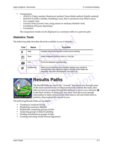- <span id="page-35-24"></span><span id="page-35-23"></span><span id="page-35-20"></span><span id="page-35-17"></span><span id="page-35-15"></span><span id="page-35-8"></span><span id="page-35-6"></span><span id="page-35-4"></span><span id="page-35-3"></span><span id="page-35-2"></span>• Comparisons
	- ANOVA (Tukey method, Bonferroni method, Dunn-Sidak method, Scheffe method)
	- MANOVA (Wilk's lambda, Hotelling's trace, Roy's maximum root, Pillai's trace)
	- Two sample t-test
	- Variance tests (Levene's test, using means or medians; Bartlett's test)
	- Correlation (Pearson, Spearman)
	- **Covariance**

<span id="page-35-19"></span><span id="page-35-18"></span><span id="page-35-16"></span><span id="page-35-12"></span><span id="page-35-11"></span><span id="page-35-10"></span><span id="page-35-9"></span><span id="page-35-7"></span><span id="page-35-5"></span>The comparison results can be displayed as a summary table or a pairwise plot.

#### <span id="page-35-25"></span><span id="page-35-0"></span>*Statistics Tools*

| Tool | <b>Name</b> | <b>Function</b>                                                                                                                                                                              |
|------|-------------|----------------------------------------------------------------------------------------------------------------------------------------------------------------------------------------------|
| P    | Help        | Displays help for the window in which you're working.                                                                                                                                        |
|      | Save        | Saves displayed statistical data to a .htm file.                                                                                                                                             |
|      | Print       | Prints the displayed statistical data.                                                                                                                                                       |
| ð    | Preferences | Allows you to customize how Statistics displays your results by<br>choosing how many significant digits to display, which labels are<br>displayed, how axes are displayed, line colors, etc. |

<span id="page-35-1"></span>

## <span id="page-35-22"></span><span id="page-35-14"></span>**Results Paths**

<span id="page-35-21"></span><span id="page-35-13"></span>Allows you to customize how statistics displays your<br>choosing how many significant digits to display, which<br>displayed, how axes are displayed, line colors, etc.<br>**Notation**<br>**Notation of the Contract of the Software of the s example 5 Sults Paths**<br>Results Paths are much like "wizards" that guide you through so<br>le most common tasks in Discoverant. Each explains the tasks, the<br>you how to navigate through the software or gives you a shortcu<br>fina The Results Paths are much like "wizards" that guide you through some of the most common tasks in Discoverant. Each explains the tasks, then tells you how to navigate through the software or gives you a shortcut  $\blacksquare$ to the final window or dialog box you need. Each gives you enough information to make choices about what data to use and which tests to perform, then explains the results to you.

The following Results Paths are available:

- Creating an Analysis Group
- Displaying summary statistics
- Statistically comparing groups of data
- Analyzing groups of data by plotting
- Finding correlations in groups of data
- Creating and using Visual Process Signatures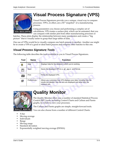<span id="page-36-0"></span>

## <span id="page-36-16"></span>**Visual Process Signature (VPS)**

Visual Process Signatures provide you a unique, visual way to compare processes. VPS's, in effect, are a 3D "snapshot" of a manufacturing process.

Using parameters you choose and performing a complex set of calculations, VPS creates a surface plot, which can be animated, that you can compare with similar plot from other manufacturing processes or

One use of VPSs would be to visually compare one batch process to another. Another use might be to create a VPS of a good or ideal batch process and compare other batches to this one.

#### <span id="page-36-19"></span><span id="page-36-1"></span>*Visual Process Signature Tools*

|      |             | can compare with ominar provincin other mananeuming processes or<br>tches. These plots display the relationship between many parameters and create a "big<br>ture" that is visually easier to grasp than large tables of data. |
|------|-------------|--------------------------------------------------------------------------------------------------------------------------------------------------------------------------------------------------------------------------------|
|      |             | he use of VPSs would be to visually compare one batch process to another. Another use m<br>to create a VPS of a good or ideal batch process and compare other batches to this one.                                             |
|      |             | isual Process Signature Tools                                                                                                                                                                                                  |
|      |             | e following table describes the tools available to you in Visual Process Signatures.                                                                                                                                           |
| Tool | <b>Name</b> | <b>Function</b>                                                                                                                                                                                                                |
| ଙ୍କ  | Help        | Displays help for the window in which you're working.                                                                                                                                                                          |
| F    | Save        | Saves the displayed VPS to a .gif, .jpg or .wmf format.                                                                                                                                                                        |
| Æ    | Print       | Prints the displayed VPS.                                                                                                                                                                                                      |
| ð    | Preferences | Allows you customize how VPS displays your data, including how the<br>results are labeled, how the axis are displayed and what color the<br>contours are.                                                                      |
|      |             |                                                                                                                                                                                                                                |
|      |             | <b>Quality Monitor</b>                                                                                                                                                                                                         |
|      |             | The Quality Monitor offers you a number of standard Statistical Proce<br>Control (SPC) tools, including Control Charts and CuSum and Pareto<br>graphs, by which to view your processes.                                        |
|      |             | The CuSum and Pareto graphs are simple, straight-forward tools.                                                                                                                                                                |
|      |             |                                                                                                                                                                                                                                |

<span id="page-36-2"></span>

## <span id="page-36-18"></span><span id="page-36-17"></span><span id="page-36-15"></span><span id="page-36-14"></span><span id="page-36-13"></span><span id="page-36-12"></span><span id="page-36-8"></span><span id="page-36-4"></span>**Quality Monitor**

You can also choose from a number of different Control Charts:

- <span id="page-36-11"></span><span id="page-36-3"></span>• X-bar
- <span id="page-36-6"></span>Moving average
- <span id="page-36-9"></span>• Individuals
- Range
- <span id="page-36-10"></span><span id="page-36-7"></span>• Moving range
- <span id="page-36-5"></span>• Standard deviation
- Exponentially weighted moving average (EWMA)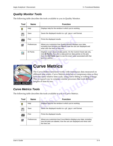#### <span id="page-37-12"></span><span id="page-37-0"></span>*Quality Monitor Tools*

The following table describes the tools available to you in Quality Monitor.

| Tool | <b>Name</b>      | <b>Function</b>                                                                                                                                                                                                                                         |
|------|------------------|---------------------------------------------------------------------------------------------------------------------------------------------------------------------------------------------------------------------------------------------------------|
| P    | Help             | Displays help for the window in which you're working.                                                                                                                                                                                                   |
|      | Save             | Saves the displayed results to a .gif, .jpg or .wmf format.                                                                                                                                                                                             |
|      | Print            | Prints the displayed results.                                                                                                                                                                                                                           |
| ð    | Preferences      | Allows you customize how Quality Monitor displays your data,<br>including how the plots are labeled, how the axis are displayed and<br>what color the lines or bars are.                                                                                |
|      | <b>ID Points</b> | Displays exact values of data points. On the Control Charts tab only,<br>click <b>ID Points</b> , then click a data point (or data points) on the plot,<br>then click ID Points again to see the exact value associated with that<br>point (or points). |
|      |                  | <b>Curve Metrics</b><br>The Curve Metrics functions works with continuous data measured<br>different time scales. Curve Metrics stretches or compresses data so                                                                                         |

<span id="page-37-1"></span>

## <span id="page-37-5"></span><span id="page-37-4"></span><span id="page-37-3"></span>**Curve Metrics**

<span id="page-37-10"></span><span id="page-37-8"></span><span id="page-37-7"></span><span id="page-37-6"></span>then click ID Points again to see the exact value<br>point (or points).<br>**CUITVE Metrics**<br>The Curve Metrics functions works with continue different time scales. Curve Metrics stretches or compare that the same relative time sc **EXECUTE CONTROVERY CONTROVERY CONTROVERY CONTROVERY AND SERVED SERVED SERVED SOMETIME SCALE SOFTEND ASSESS THE SCALE OF STAR OF STAR OF STAR OF STAR OF STAR OF STAR OF STAR OF STAR OF STAR OF STAR OF STAR OF STAR OF STAR** The Curve Metrics functions works with continuous data measured on different time scales. Curve Metrics stretches or compresses data so they have the same relative time scale, using curve fitting or rolling average. This is a good way to compare similar processes that took different lengths of time to run.

#### <span id="page-37-11"></span><span id="page-37-2"></span>*Curve Metrics Tools*

<span id="page-37-9"></span>The following table describes the tools available to you in Curve Metrics.

| <b>/E METRIC</b> | e Metrics Tools | different time scales. Curve Metrics stretches or compresses data so the<br>have the same relative time scale, using curve fitting or rolling average<br>This is a good way to compare similar processes that took different<br>lengths of time to run.<br>lowing table describes the tools available to you in Curve Metrics. |
|------------------|-----------------|--------------------------------------------------------------------------------------------------------------------------------------------------------------------------------------------------------------------------------------------------------------------------------------------------------------------------------|
| Tool             | <b>Name</b>     | <b>Function</b>                                                                                                                                                                                                                                                                                                                |
| ?                | Help            | Displays help for the window in which you're working.                                                                                                                                                                                                                                                                          |
|                  | Save            | Saves the displayed results to a .gif, .jpg or .wmf format.                                                                                                                                                                                                                                                                    |
|                  | Print           | Prints the displayed results.                                                                                                                                                                                                                                                                                                  |
| ð                | Preferences     | Allows you customize how Curve Metrics displays your data, including<br>how the plots are labeled, how the axis are displayed and what color<br>the lines are.                                                                                                                                                                 |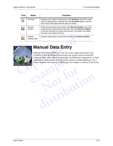| Tool | <b>Name</b>              | <b>Function</b>                                                                                                                                                                                                                                                    |
|------|--------------------------|--------------------------------------------------------------------------------------------------------------------------------------------------------------------------------------------------------------------------------------------------------------------|
|      | <b>ID Points</b>         | Displays exact values of data points. Click <b>ID Points</b> , then click a data<br>point (or data points) on the plot, then click <b>ID Points</b> again to see the<br>exact value associated with that point (or points).                                        |
|      | Remove<br>Outliers       | Removes data points from the plot. Click <b>Remove Outliers</b> , then click<br>a data point (or data points) on the plot, then click Remove Outliers<br>to remove that point (or points) from the plot. (This does not change<br>the data in the Analysis Group.) |
|      | Restore<br>Original Data | Restores data points removed from the plot with <b>Remove Outliers</b> .                                                                                                                                                                                           |

<span id="page-38-0"></span>

## <span id="page-38-1"></span>**Manual Data Entry**

**Contract Contract Contract Contract Contract Contract Contract Contract Contract Contract Contract Contract Contract Contract Contract Contract Contract Contract Contract Contract Contract Contract Contract Contract Contr** available in the databases Discoverant can access<br>collected data, data collected especially for statistical<br>collected by instruments that don't save data to u<br>more complete description of MDE, see see Chap Manual Data Entry (MDE) is a way for you to input data that is not available in the databases Discoverant can access, such as manually collected data, data collected especially for statistical comparison, or data collected by instruments that don't save data to usable databases. For a more complete description of MDE, see see Chapter 6, *[Manual Data Entry](#page-39-2)*.

**distribution**

**Not for**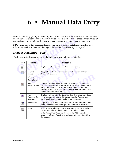## <span id="page-39-4"></span><span id="page-39-2"></span><span id="page-39-0"></span>**6 • Manual Data Entry**

Manual Data Entry (MDE) is a way for you to input data that is not available in the databases Discoverant can access, such as manually collected data, data collected especially for statistical comparison, or data collected by instruments that don't save data to usable databases.

#### <span id="page-39-7"></span><span id="page-39-6"></span><span id="page-39-5"></span><span id="page-39-3"></span><span id="page-39-1"></span>*Manual Data Entry Tools*

|             |                                                                             | anual Data Entry (MDE) is a way for you to input data that is not available in the database<br>scoverant can access, such as manually collected data, data collected especially for statisti<br>mparison, or data collected by instruments that don't save data to usable databases.                                        |
|-------------|-----------------------------------------------------------------------------|-----------------------------------------------------------------------------------------------------------------------------------------------------------------------------------------------------------------------------------------------------------------------------------------------------------------------------|
|             |                                                                             | DE builds a new data source and creates new entries in your data hierarchies. For more<br>formation on hierarchies and their symbols, see The Data Hierarchy on page 3-7.                                                                                                                                                   |
|             | anual Data Entry Tools                                                      |                                                                                                                                                                                                                                                                                                                             |
|             |                                                                             | e following table describes the tools available to you in Manual Data Entry.                                                                                                                                                                                                                                                |
| <b>Tool</b> | <b>Name</b>                                                                 | <b>Function</b>                                                                                                                                                                                                                                                                                                             |
| P           | Help                                                                        | Displays help for the window in which you're working.                                                                                                                                                                                                                                                                       |
| 暮           | Toggle to<br><b>Names</b><br>$-$ or $-$<br>Toggle to<br><b>Descriptions</b> | Toggles the text in the hierarchy between descriptions and names.<br>The default is names.                                                                                                                                                                                                                                  |
| Q           | Search<br><b>Hierarchy Tree</b>                                             | Displays the Find & Replace dialog box, where you can search for<br>strings or values in different objects within Discoverant. Depending on<br>the functional area from which you search, different options will be<br>available to you. You can also use the Find & Replace dialog box to<br>replace certain object names. |
| 仚           | View<br><b>Parameter Set</b><br>Description                                 | Displays the Parameter Set Name and Date descriptions associated<br>with a particular Universe in the current hierarchy. The user must<br>select a Universe or a node in order to see a description.                                                                                                                        |
| ð           | Preferences                                                                 | Displays the MDE Preferences dialog box, in which you can set date<br>and number formats and the display characteristics of edited data.                                                                                                                                                                                    |
| ⋐           | Open                                                                        | In the Hierarchy tab, this opens the MDE parameters you select in the<br>hierarchy and displays them on the right side of the window.<br>In the Manual Data Group tab, this opens the MDE parameter you<br>select in the Search Results area and displays it on the right side of<br>the window.                            |
|             |                                                                             |                                                                                                                                                                                                                                                                                                                             |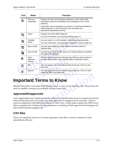<span id="page-40-5"></span>

| <b>Find Lost</b><br>Parameters<br>hierarchy.<br>MDE parameter, or (2) the hierarchy was overwritten by a<br>spreadsheet-generated hierarchy.<br>Import<br>Displays the Import MDE dialog box.<br>٥,<br>For more information, see <i>Importing Data</i> on page 6-5.<br>Template<br>ا د<br>Export<br>Open a Draft<br>雫?<br>imported data.<br>Save a Draft<br>雫<br>the data to the database.<br>Add a<br>÷.<br>Replicate<br>Column<br><b>Edit</b><br>Ø<br>data cells. | Displays the Add Lost Parameters dialog box, which shows MDE<br>parameters stored in the database but not displayed in the current<br>Parameters may be missing for two reasons: (1) someone deleted an<br>Lets you export a .csv file template, making importing data easier.<br>For more information, see Exporting a Template for Data on page 6-6.<br>Lets you open previously saved drafts of manually entered or<br>Lets you save a draft of MDE data you're entering without committing<br>This tool appears only in the Hierarchy tab. It lets you add a column of<br>discrete replicate data. You must first select a Parameter column. |
|---------------------------------------------------------------------------------------------------------------------------------------------------------------------------------------------------------------------------------------------------------------------------------------------------------------------------------------------------------------------------------------------------------------------------------------------------------------------|--------------------------------------------------------------------------------------------------------------------------------------------------------------------------------------------------------------------------------------------------------------------------------------------------------------------------------------------------------------------------------------------------------------------------------------------------------------------------------------------------------------------------------------------------------------------------------------------------------------------------------------------------|
|                                                                                                                                                                                                                                                                                                                                                                                                                                                                     |                                                                                                                                                                                                                                                                                                                                                                                                                                                                                                                                                                                                                                                  |
|                                                                                                                                                                                                                                                                                                                                                                                                                                                                     |                                                                                                                                                                                                                                                                                                                                                                                                                                                                                                                                                                                                                                                  |
|                                                                                                                                                                                                                                                                                                                                                                                                                                                                     |                                                                                                                                                                                                                                                                                                                                                                                                                                                                                                                                                                                                                                                  |
|                                                                                                                                                                                                                                                                                                                                                                                                                                                                     |                                                                                                                                                                                                                                                                                                                                                                                                                                                                                                                                                                                                                                                  |
|                                                                                                                                                                                                                                                                                                                                                                                                                                                                     |                                                                                                                                                                                                                                                                                                                                                                                                                                                                                                                                                                                                                                                  |
|                                                                                                                                                                                                                                                                                                                                                                                                                                                                     |                                                                                                                                                                                                                                                                                                                                                                                                                                                                                                                                                                                                                                                  |
|                                                                                                                                                                                                                                                                                                                                                                                                                                                                     |                                                                                                                                                                                                                                                                                                                                                                                                                                                                                                                                                                                                                                                  |
|                                                                                                                                                                                                                                                                                                                                                                                                                                                                     |                                                                                                                                                                                                                                                                                                                                                                                                                                                                                                                                                                                                                                                  |
|                                                                                                                                                                                                                                                                                                                                                                                                                                                                     |                                                                                                                                                                                                                                                                                                                                                                                                                                                                                                                                                                                                                                                  |
|                                                                                                                                                                                                                                                                                                                                                                                                                                                                     | This tool appears only in the Manual Data Group tab. Click it to edit                                                                                                                                                                                                                                                                                                                                                                                                                                                                                                                                                                            |
| Approve<br>a Manual Data Group approved.                                                                                                                                                                                                                                                                                                                                                                                                                            | This tool appears only in the Manual Data Group tab. Click it to mark                                                                                                                                                                                                                                                                                                                                                                                                                                                                                                                                                                            |

## <span id="page-40-0"></span>**Important Terms to Know**

Manual Data Entry uses some terms that you may or may not be familiar with. These terms are used to simplify concepts you probably already know well.

#### <span id="page-40-3"></span><span id="page-40-1"></span>*Approved/Unapproved*

**distribution of the Material Startup Control Startup Startup Startup Startup Startup Startup Startup Startup Startup Startup Startup Startup Startup Startup Startup Startup Startup Startup Startup Startup Startup Startup** Your organization may require manually entered or imported data to pass an approval process. Manual Data Entry lets you mark your data approved or unapproved as necessary. The two types are displayed with different symbols in Table View. Unless data is approved, MDE saves data as unapproved. Analysis Group parameters consisting of both approved and unapproved data will be marked unapproved.

#### <span id="page-40-4"></span><span id="page-40-2"></span>*CSV files*

Data to be imported must be in comma-separated value files, a format common to most spreadsheet software.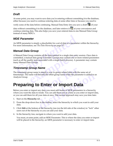#### <span id="page-41-0"></span>*Draft*

At some point, you may want to save data you're entering without committing it to the database, either because you need to continue entering data at some other time or because you need to

verify some of the data before continuing. Manual Data Entry lets you save a draft  $\Box$  of your

data without committing it to the database, and later retrieve it  $\mathbb{R}^2$  at your convenience and continue entering data. This also helps you save your entered data in one Manual Data Group instead of many MDG's.

#### <span id="page-41-1"></span>*MDE Parameter*

An MDE parameter is simply a placeholder for a set of data or a parameter within the hierarchy. For more information, see *The Data Hierarchy* on page 3-7.

#### <span id="page-41-7"></span><span id="page-41-2"></span>*Manual Data Group*

<span id="page-41-6"></span>**Compare 12 Example 15**<br> **Compare 12 Example 1**<br> **Compare 1**<br> **Compare 1**<br> **Compare 1**<br> **Compare 1**<br> **Compare 1**<br> **Compare 1**<br> **Compare 1**<br> **Compare 1**<br> **Compare 1**<br> **Compare 1**<br> **Compare 1**<br> **Compare 1**<br> **Compare 1**<br> **Com** Froup contains all the data entered in a single data entropy<br>the data group is formed. Groups may contain one or<br>ality tests associated with a single batch process). A p<br>a Groups.<br>**Group Name**<br>poup name is simply a way to A Manual Data Group contains all the data entered in a single data entry session. Once data is committed, a manual data group is formed. Groups may contain one or more related parameters (such as all the quality tests associated with a single batch process). A parameter may contain many Manual Data Groups.

#### <span id="page-41-8"></span><span id="page-41-3"></span>*Timestamp Group Name*

**SIMPLE SIMPLE SIMPLE SIMPLE SIMPLE SIMPLE STATE IN PORT DE NOTE PARAGEMENT OF IMPORT DE ALL AND AND A CONTROLL AND A CONTROLL AND A CONTROLL AND A CONTROLL AND A CONTROLL AND A CONTROLL AND A CONTROLL AND A CONTROLL AND A** The timestamp group name is simply a way to group related data with the same set of timestamps. The name will become the offset group name when the parameter is added to an Analysis Group.

## <span id="page-41-5"></span><span id="page-41-4"></span>**Preparing to Enter or Import Data**

**distribution** become the offset group name when the parameter is added to a<br> **discrept of Enter or Import Data**<br>
any data, you must add nodes or MDE parameters in a hierarchy<br>
or seside. You can add them one at a time as Before you enter or import any data, you must add nodes or MDE parameters in a hierarchy where you want the data to reside. You can add them one at a time as you enter or import data, or you can add them for all your data at once. This second approach may save you time later.

- 1. Start on the **Hierarchy** tab.
- 2. From the drop-down box in the toolbar, select the hierarchy to which you want to add your data.
- 3. Click **Edit** at the bottom of the hierarchy tree (on the left side of the window) to "lock" other users out of the hierarchy so you can add your data.
- 4. In the hierarchy tree, navigate to where you want to add your data.

You must, at some point, add an MDE Parameter. This is where the data you enter or import will be placed in the hierarchy; an MDE parameter is necessary to enter or import data.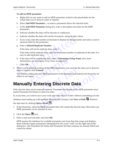#### **To add an MDE parameter:**

- a. Right-click on any node to add an MDE parameter (which is the placeholder for the actual data you're about to enter or import).
- b. Select **Add MDE Parameter…** to insert a parameter below the selected node.
- c. In the **Add MDE Parameter** dialog box, enter a description and alias for the MDE parameter.
- d. Indicate whether the data will be discrete or continuous.
- e. Indicate whether the data will consist of numeric, string or date values.
- f. If you want, enter the number of decimals to display for the parameter and select a unit of measure label for the parameter.
- g. Enter a **Default Replicate Number**.

If the data will not be replicate data, enter 1.

If the data will be replicate data, enter the minimum number of replicates in the data. It is easy to add replicates later.

- h. If the data will be continuous data, enter a **Timestamp Group Name**. (For more information, see *Timestamp Group Name* on page 6-3.)
- <span id="page-42-1"></span>i. Click **OK**.
- **Co[pyr](#page-41-3)i[g](#page-41-3)hted Example 1**<br>
will be continuous data, enter a **Timestamp Group N**<br>
in, see *Timestamp Group Name* on page 6-3.)<br>
inished creating all the MDE parameters you need for<br>
t, click Commit.<br>
dding the new MDE parameters to the h 5. When you're finished creating all the MDE parameters you need for the data you're about to enter or import, click **Commit**.

<span id="page-42-3"></span><span id="page-42-2"></span>This finishes adding the new MDE parameters to the hierarchy and unlocks the hierarchy for others to use again.

## **Not for Manually Entering Discrete Data**

<span id="page-42-0"></span>**e** new MDE parameters to the hierarchy and unlocks the hierarchy<br> **discription**<br> **discrept in the MDE parameter m**<br>
annually entered. Parameter Set Names in the MDE parameter m<br>
save your work and come back to it later wi Only discrete data can be manually entered. Parameter Set Names in the MDE parameter must match Parameter Set Names in data you enter.

If, at any time, you wish to save your work and come back to it later without committing it to the

database (and ending up with multiple Manual Data Groups), click **Save a Draft** . Retrieve

the data later by clicking **Open a Draft** .

- 1. In the hierarchy, select the MDE parameter that will contain the discrete data. More than one MDE parameter can be selected at once.
- 2. Click the **Open**  $\boxed{\text{H}}$  tool.
- 3. Enter a start and end date, and click **OK**.

MDE queries the database for available parameter sets from that date range and displays them with the empty parameters (designated by the word "null") on the right side of the dialog box. The Parameter Set Name and Parameter Set Date columns are already filled and cannot be edited.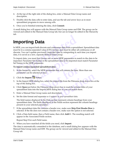- <span id="page-43-8"></span>4. At the top of the right side of the dialog box, enter a Manual Data Group name and description.
- 5. Double-click the data cells to enter data, and use the tab and arrow keys as in most spreadsheet programs to move among cells.
- <span id="page-43-2"></span>6. Once you're finished entering the data, click **Commit**.

A small dialog box will appear with the Manual Data Group name and ID#. The group can be viewed and edited in the Manual Data Group tab, but can no longer be edited in the Hierarchy tab.

## <span id="page-43-7"></span><span id="page-43-6"></span><span id="page-43-4"></span><span id="page-43-0"></span>**Importing Data**

<span id="page-43-5"></span><span id="page-43-3"></span>**Conserved All All All Solution**<br> **Conserved All All Solution**<br>
MDE, you can import both discrete and continuous data from a spreases the in a comma-separated value (CSV) format, and must be either accrete. You can't updat In MDE, you can import both discrete and continuous data from a spreadsheet. Spreadsheet data must be in a comma-separated value (CSV) format, and must be either all continuous or all discrete. You can't update previously imported data by reimporting it; each time you import data, it is saved as a new, separate Manual Data Group.

<span id="page-43-9"></span>a new, separate Manual Data Group.<br>
bu must first choose one or more MDE parameters to<br>
ter Set Names in the spreadsheet data to be imported<br>
MDE parameter.<br> **exparated spreadsheet data:**<br>
y, select the MDE parameter that To import data, you must first choose one or more MDE parameters to match to the data to be imported. Parameter Set Names in the spreadsheet data to be imported must match Parameter Set Names in the MDE parameter.

#### **To import comma-separated spreadsheet data:**

- 1. In the hierarchy, select the MDE parameter that will contain the data. More than one parameter can be selected at once.
- 2. Click the **Import**  $\begin{bmatrix} 1 \\ 2 \end{bmatrix}$  button.
- MDE parameter that will contain the data.<br>
at once.<br>
n.<br>
box, select the import file from the Filename<br>
Filename drop-down box to read the colum<br>
mport MDE dialog box so you can match th 3. In the Import MDE dialog box, select the import file from the Filename drop-down box at the top of the dialog box.
- 4. Click **Open** just below the Filename drop-down box to read the column titles of your spreadsheet data into the Import MDE dialog box so you can match them.
- 5. Enter a Manual Data Group name and description.
- 6. Set the date format and separator *as it appears in your spreadsheet data.*

utton.<br>
log box, select the import file from the Filename drop-down box at<br>
the Filename drop-down box to read the column titles of your<br>
he Import MDE dialog box so you can match them.<br>
roup name and description.<br>
I separ The field names displayed in the Data section represent column headings from your spreadsheet data. The fields displayed in the Fields section represent the column headings present in your selected parameter.

- 7. If the spreadsheet data file contains a header row, make sure **Skip First Header Row** is selected. If the file does not contain a header row, make sure the option is not selected.
- <span id="page-43-1"></span>8. Click a Data field name, then a Field name, then click **Add>>**. The resulting match will appear in the Associated Fields section.

Repeat [Step 8](#page-43-1) for each Field name.

9. When you have matched all the fields you need, click **Import**.

The data is automatically committed to the database, and a small dialog box appears with the Manual Data Group name and ID#. The group can be viewed and edited in the Manual Data Group tab.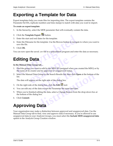## <span id="page-44-6"></span><span id="page-44-0"></span>**Exporting a Template for Data**

<span id="page-44-8"></span>Export templates help you create files for importing data. The export template contains the Parameter Set IDs, replicate numbers and time stamps to match with data you want to import.

#### **To create an export template:**

- 1. In the hierarchy, select the MDE parameter that will eventually contain the data.
- 2. Click the **Template Export** button.
- 3. Enter the start and end dates for the template.
- Click the **Template Export** <sup>2</sup> button.<br>
Enter the start and end dates for the template.<br>
Enter the Filename for the template. Use the Browse button to navigate the file.<br>
Click OK.<br>
and an now open the saved .csv file in 4. Enter the Filename for the template. Use the Browse button to navigate to where you want to save the file.
- 5. Click **OK**.

<span id="page-44-4"></span>You can now open the saved .csv file in a spreadsheet program and enter the data as necessary.

## <span id="page-44-1"></span>**Editing Data**

#### <span id="page-44-7"></span>**In the Manual Data Group tab…**

- 1. Find the group you want to edit by the MDG ID (assigned when you created the MDG) or by the name of its creator and its approved or unapproved status.
- <span id="page-44-5"></span>**Data**<br> **example 12**<br> **example 12**<br> **example 12**<br> **example 12**<br> **example 12**<br> **example 12**<br> **example 12**<br> **example 12**<br> **example 12**<br> **example 12**<br> **example 12**<br> **example 12**<br> **example 12**<br> **example 12**<br> **example 12**<br> **exa Note 11 Solution 19 ADG ID** (assigned when you c<br>
its approved or unapproved status.<br>
oup in the Search Results list, then click **Op**<br>
e right side of the dialog box.<br>
alog box, click the Edit **M** tool.<br>
ta except the Par 2. Select the Manual Data Group in the Search Results list, then click **Open** at the bottom of the list.

The data will appear on the right side of the dialog box.

- 3. On the right side of the dialog box, click the **Edit** tool.
- 4. You can edit any of the data except the Parameter Set name and date.
- Group in the Search Results list, then click Open at the bottom of<br>a the right side of the dialog box.<br>dialog box, click the Edit **Z** tool.<br>data except the Parameter Set name and date.<br>editing the data, select a Change Rea 5. When you're finished editing the data, select a Change Reason from the drop-down box at the bottom of the dialog box.
- <span id="page-44-3"></span>6. Click **Commit**.

## <span id="page-44-2"></span>**Approving Data**

Your organization may make a distinction between approved and unapproved data. Use the Manual Data Group tab to find, view and approve data if necessary. If you're allowed to use unapproved data in your Analysis Groups, you must select the **Include MDE unapproved data** option in the Analysis Group Creation window.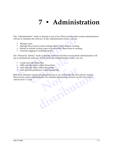## <span id="page-45-3"></span><span id="page-45-1"></span>**7 • Administration**

<span id="page-45-0"></span>**Example 18 The Solution Constant Solution Common Set of the Administration mode, you can:**<br> **Common Set of Manage users**<br> **Common Set of Manage Discoverant system settings while Discoverant is runnin<br>
• Manage Discoverant** The "Administration" mode or domain is one of two Discoverant modes system administrators will use to maintain the software. In the Administration mode, you can:

- Manage users
- Manage Discoverant system settings while Discoverant is running
- Reload or refresh various types of pools while Discoverant is running
- <span id="page-45-2"></span>• Generate logging or auditing reports

The "Hierarchy Admin" mode or domain is the second Discoverant mode administrators will use to maintain the software. In the Hierarchy Administration mode, you can:

- Create and edit hierarchies
- Add and edit nodes within hierarchies
- Add and edit views within hierarchies
- Add and edit parameters within hierarchies

dmin" mode or domain is the second Discoverant mode software. In the Hierarchy Administration mode, yound the Hierarchies dit nodes within hierarchies dit views within hierarchies dit parameters within hierarchies as requi thin hierarchies<br>ecial permission to use and should be used<br>ators. For detailed information on each, see e special permission to use and should be used only by trained<br>istrators. For detailed information on each, see the *Discoverant* Both these domains require special permission to use and should be used only by trained Discoverant system administrators. For detailed information on each, see the *Discoverant Administrator's Guide*.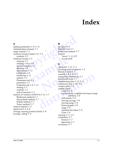## **Index**

#### **A**

<span id="page-46-0"></span>ding [p](#page-16-0)arameters 3–9, 3–11<br>
Iminstration domain 7–1<br>
Iminstration domain 7–1<br>
ggis website 1–3<br>
al[y](#page-15-3)sis G[r](#page-15-5)oup Central 2–4, 3–2<br>
symbols 3–2<br>
alysis Group S–2<br>
alysis Group S–2<br>
alysis Group is 3–2<br>
cerating 3–3<br>
cerating 3–  $\begin{array}{r} \text{4.1} \\ \text{4.2} \\ \text{5.3} \\ \text{4.3} \\ \text{5.4} \\ \text{6.4} \\ \text{6.5} \\ \text{6.6} \\ \text{6.6} \\ \text{6.7} \\ \text{7.8} \\ \text{7.8} \\ \text{8.9} \\ \text{9.1} \\ \text{1.1} \\ \text{1.2} \\ \text{1.3} \\ \text{1.4} \\ \text{1.5} \\ \text{1.6} \\ \text{1.7} \\ \text{2.8} \\ \text{2.9} \\ \text{3.1} \\ \text{4.1} \\ \text{5.1} \\ \text{5.$  $\begin{array}{r} \text{4.1} \\ \text{4.2} \\ \text{5.3} \\ \text{4.3} \\ \text{5.4} \\ \text{6.4} \\ \text{6.5} \\ \text{6.6} \\ \text{6.6} \\ \text{6.7} \\ \text{7.8} \\ \text{7.8} \\ \text{8.9} \\ \text{9.1} \\ \text{1.1} \\ \text{1.2} \\ \text{1.3} \\ \text{1.4} \\ \text{1.5} \\ \text{1.6} \\ \text{1.7} \\ \text{2.8} \\ \text{2.9} \\ \text{3.1} \\ \text{4.1} \\ \text{5.1} \\ \text{5.$  $\begin{array}{r} \text{4.1} \\ \text{4.2} \\ \text{5.3} \\ \text{4.3} \\ \text{5.4} \\ \text{6.4} \\ \text{6.5} \\ \text{6.6} \\ \text{6.6} \\ \text{6.7} \\ \text{7.8} \\ \text{7.8} \\ \text{8.9} \\ \text{9.1} \\ \text{1.1} \\ \text{1.2} \\ \text{1.3} \\ \text{1.4} \\ \text{1.5} \\ \text{1.6} \\ \text{1.7} \\ \text{2.8} \\ \text{2.9} \\ \text{3.1} \\ \text{4.1} \\ \text{5.1} \\ \text{5.$ adding parameters *3–9*, *3–11* Adminstration domain *7–1* Aegis website *1–3* Analysis Group Central *2–4*, *3–2* symbols *3–2* Analysis Groups *3–2* copying *3–3* creating *3–6 to 3–9* decimal display *5–3* deleting *3–4* descriptions *3–11* Global tab *3–9* modifying *3–11* options *3–2* Parameters tab *3–9* properties *3–5* Properties tab *[3–9](#page-22-8)*, *3–11* sharing *3–3* symbols *3–2* unit of measure *5–3* analysis of variance (ANOVA) *5–6*, *5–7* Bonferroni method *5–7* Dunn-Sidak method *5–7* Scheffe method *5–7* Tukey method *5–7* analysis options *1–2* approved *[6–2](#page-40-3)*, *6–6* average, moving (control charts) *[5–8](#page-36-3)* average, rolling *[5–9](#page-37-3)*

#### **B**

bar plots *5–5* Bartlett's test *5–7* Bonferroni method *[5–7](#page-35-3)* buttons "move" *1–2*, *3–9 see also* tools

#### **C**

choosing analysis optio<br>choosing analysis optio<br>classes of data 4–1<br>commit 3–4, 6–4, 6–5<br>comparison (statistical)<br>conditional node 3–7<br>conditioning data 3–13<br>continuous data 3–12, 4<br>contour plots 5–5<br>control charts<br>CuSum 5 commi[t](#page-33-3) 3-4, 6-4, 6-5<br>
comparison (statistical) 5-7<br>
condit[io](#page-20-2)[n](#page-35-8)al node 3-7<br>
conditioning data 3-13, 5-3<br>
continuous data 3-12, 4-1<br>
contour plots 5-5<br>
control charts<br>
CuSum 5-8<br>
CuSum 5-8<br>
exponentially weighted moving avera categories *3–12*, *5–3* choosing analysis options *[1–2](#page-6-4)* classes of data *4–1* commit *3–4*, *6–4*, *6–5* comparison (statistical) *5–7* conditional node *3–7* conditioning data *3–13*, *5–3* continuous data *3–12*, *4–1* contour plots *5–5* control charts CuSum *5–8* exponentially weighted moving average (EWMA) *5–8* individuals *5–8* moving average *5–8* moving range *5–8* Pareto graphs *5–8* range *5–8* standard deviation *5–8* X-bar *[5–8](#page-36-11)* copying *[3–3](#page-16-0)*, *[3–4](#page-17-10)* correlation *[5–7](#page-35-9)* Pearson *[5–7](#page-35-10)* Spearman *[5–7](#page-35-11)* covariance *[5–7](#page-35-12)*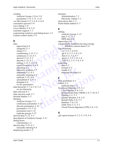#### creating

Analysis Groups *[3–6](#page-19-3) to [3–9](#page-22-5)* parameters *[3–9](#page-22-10)*, *[3–11](#page-24-8)*, *[3–12](#page-25-6)* .csv file format *[4–2](#page-28-5)*, *[5–4](#page-32-4)*, *[6–2](#page-40-4)*, *[6–6](#page-44-4)* cumulative percent *[5–6](#page-34-2)* curve fitting *[5–9](#page-37-4)* Curve Metrics *[2–6](#page-13-6)*, *[5–9](#page-37-5)* customer support *[1–3](#page-7-6)* customizing windows and dialog boxes *[1–2](#page-6-6)* CuSum control charts *5–8*

#### **D**

**Compa[r](#page-27-6)ison** Control c[h](#page-44-3)ar[t](#page-28-5)s 5–8<br>
MDE data  $6-6$ <br>
e[ig](#page-27-5)envalue 5–6<br>
and  $3-13$ , 5–3<br>
classes  $4-1$ <br>
continuous  $3-12$ ,  $4-1$ <br>
ceriv[ed](#page-34-3)  $3-13$ ,  $5-3$ <br>
discrete  $3-12$ ,  $4-1$ <br>
cerived  $3-13$ ,  $5-3$ <br>
discrete  $3-12$ ,  $4-1$ <br>
ceri 12, 4-1<br>
5-3<br>
4-1<br>
wmf 4-2, 5-5, 5-8<br>
ipg 4-2, 5-5, 5-8<br>
ipg 4-2, 5-5, 5-8<br>
wmf 4-2, 5-5, 5-8<br>
wmf 4-2, 5-5, 5-8<br> [e](#page-44-6)xporting<br>
data 4-2<br>
formats 4-2<br>
formats 4-2<br>
formats 4-2<br>
template for data<br>
4-2<br>
formats 4-2<br>
template f data approving *6–6* categories *5–3* classes *4–1* conditioning *3–13*, *5–3* continuous *3–12*, *4–1* derived *3–13*, *5–3* discrete *3–12*, *4–1* editing *3–13*, *5–3*, *6–6* export formats *4–2*, *6–6* exporting *4–2* hierarchy symbols *3–7* importing *4–2*, *6–5* manually entering *6–4* replicate *[3–12](#page-25-8)*, *4–2* spreadsheet *[4–2](#page-28-6)*, *6–5* template *6–6 [see also](#page-27-8)* parameters data hierarchy *[3–7](#page-20-4) to [3–8](#page-21-1)*, *5–4 [see also](#page-20-4)* hierarchy data universe *6–1* data universe node *3–7* decimal display *5–3* deleting Analysis Groups *3–4* continuous parameters *3–12* discrete parameters *3–12* parameters *[3–9](#page-22-11)*, *3–12* parameters sets *[3–12](#page-25-10)* replicate groups *[3–12](#page-25-8)* derived data *[3–13](#page-26-5)*, *[5–3](#page-31-8)* descriptions of Analysis Groups *[3–11](#page-24-5)* dialog boxes customizing *[1–2](#page-6-6)* discrete data *[3–12](#page-25-7)*, *[4–1](#page-27-7)* manually entering *[6–4](#page-42-2)* displaying results *[1–2](#page-6-7)*

domains Administration *[7–1](#page-45-1)* Hierarchy Admin *[7–1](#page-45-2)* drop-down lists *[1–2](#page-6-8)* Dunn-Sidak method *[5–7](#page-35-4)*

#### **E**

editing Analysis Groups *[3–11](#page-24-6)* data *3–13*, *5–3* MDE data *6–6* eigenvalue *5–6* exponentially weighted moving average (EWMA) control charts *[5–8](#page-36-5)* export formats .csv *4–2*, *5–4*, *6–6* .gif *4–2*, *5–5*, *5–8*, *[5–9](#page-37-6)* .htm *4–2*, *5–4*, *[5–7](#page-35-13)* .jpg *4–2*, *5–5*, *5–8*, *[5–9](#page-37-7)* .wmf *4–2*, *5–5*, *[5–8](#page-36-14)*, *[5–9](#page-37-8)* exporting data *4–2* formats *4–2* results *4–2* template for data *[6–6](#page-44-6)*

#### **F**

Franchise 4-2<br>
results 4-2<br>
template [for](#page-28-14) data 6-<br>
FDA guidelines 4-1<br>
folders 3-2<br>
replicate data 5-2<br>
Functional Modules 2-4<br>
Curve Metrics 2-6, **F**<[b](#page-12-5)r>
FDA g[u](#page-30-4)idelines 4–1<br>
folders  $3-2$ <br>
replica[t](#page-15-8)e data  $5-2$ <br>
Funct[ion](#page-27-9)al Modules  $2-5$ ,  $5-1$ <br>
Curve Metrics  $2-6$ ,  $5-9$ <br>
Manual Data Entry (MDE)  $2-6$ ,  $5-10$ ,<br>
Plotting  $2-5$ ,  $5-5$ <br>
Quality Monitor  $2-6$ ,  $5-8$ <br>
Resul FDA guidelines *4–1* folders *3–2* replicate data *5–2* Functional Modules *2–5*, *5–1* Curve Metrics *2–6*, *5–9* Manual Data Entry (MDE) *2–6*, *5–10*, *[6–1](#page-39-4)* Plotting *2–5*, *5–5* Quality Monitor *2–6*, *5–8* Results Paths *2–6*, *5–7* Statistics *2–6*, *5–6* Table View *2–5*, *5–1* Visual Process Signature (VPS) *2–6*, *[5–8](#page-36-16)*

#### **G**

.gif export format *[4–2](#page-28-10)*, *[5–5](#page-33-4)*, *[5–8](#page-36-12)*, *[5–9](#page-37-6)*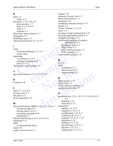#### **H**

help *[1–3](#page-7-7)* online *[1–3](#page-7-8)* hierarchy *[3–7](#page-20-4) to [3–8](#page-21-1)*, *[6–3](#page-41-5)* data universe *[3–7](#page-20-5)* leafs *[3–7](#page-20-6)*, *[3–8](#page-21-2)*, *[6–3](#page-41-6)* node *[3–7](#page-20-7)* symbols *[3–7](#page-20-3)* Hierarchy Admin domain *7–1* histograms *5–5* Hotelling's trace *5–7* .htm export format *4–2*, *5–4*, *5–7*

#### **I**

Extractional Modules 2-5, 5-1<br>
ones also tooler and the series of the series of the series of the series of mexport format 4-2, 5-4, 5-7<br>
ones also tools<br>
ones Functional Modules 2-5, 5-1<br>
Functional Modules 2-5, 5-1<br>
Fun icons Functional Modules *2–5*, *5–1 see also* tools importing .csv format *4–2*, *6–2* creating a template *6–6* data *4–2*, *6–5* individuals control charts *5–8*

#### **J**

.jpg export format *4–2*, *5–5*, *5–8*, *5–9*

#### **K**

K-means *5–6*

#### **L**

leafs *[3–7](#page-20-6)*, *[3–8](#page-21-2)*, *6–3* Levene's test *5–7* line plots *5–5* linear regression *5–6*

#### **M**

Manual Data Entry (MDE) *2–6*, *4–2*, *5–10*, *6–1* continuous data *6–5* discrete data *[6–4](#page-42-2)*, *[6–5](#page-43-7)* exporting a template *[6–6](#page-44-6)* importing *[6–5](#page-43-3)* Manual Data Group *[4–2](#page-28-17)*, *[6–3](#page-41-7)*, *[6–5](#page-43-8)*, *[6–6](#page-44-7)* maximum *[5–6](#page-34-7)* MDE *[see](#page-39-4)* Manual Data Entry mean *[5–6](#page-34-8)* means, Levene's test *[5–7](#page-35-16)*

median *[5–6](#page-34-9)* medians, Levene's test *[5–7](#page-35-16)* Microsoft Windows *[1–1](#page-5-6)* minimum *[5–6](#page-34-10)* modifying Analysis Groups *[3–11](#page-24-6)* mouse *[1–1](#page-5-7)* "move" buttons *[1–2](#page-6-5)*, *[3–9](#page-22-9)* move *[3–4](#page-17-11)* moving average control charts *[5–8](#page-36-3)* moving range control charts *[5–8](#page-36-7)* multiple regression *[5–6](#page-34-11)* multivariate analysis of variance (MANOVA) *[5–7](#page-35-17)* Hotelling's trace *[5–7](#page-35-15)* Pillai's trace *5–7* Roy's maximum root *[5–7](#page-35-19)* Wilk's lambda *[5–7](#page-35-20)* multivariate statistics *[5–6](#page-34-12)*

#### **N**

**[e](#page-34-5)[x](#page-33-5)[amp](#page-37-7)le –** N *5–6* node conditional *3–7* data universe *3–7* organizational *3–7*

#### **O**

conditional 3-7<br>data universe 3-7<br>[or](#page-20-5)ganizational 3-7<br>**O**<br>offset groups 3-10<br>online help 1-3<br>online reference manua<br>organizational node 3offset groups *3–10* online help *1–3* online reference manual *1–3* organizational node *3–7*

#### **P**

**c**<br> **o**<br>
offse[t](#page-7-8) gro[u](#page-20-7)ps 3–10<br>
online help  $1-3$ <br>
online reference manual  $1-3$ <br>
organizational no[d](#page-43-6)e 3–7<br> **P**<br>
parameter sets 3–9, 3–10, 5–2, 5–4, 6–4, 6<br>  $\begin{array}{r} 6-6 \\ 6-6 \\ 6 \end{array}$ <br>
eletting 3–12<br>
removing 3–12<br>
2–6, 4–2, parameter sets *3–9*, *3–10*, *5–2*, *5–4*, *6–4*, *[6–5](#page-43-9)*, *6–6* deleting *3–12* removing *3–12* parameters adding *3–9*, *3–11* categories *[3–12](#page-25-4)*, *[5–3](#page-31-6)* conditioning *[3–13](#page-26-4)*, *[5–3](#page-31-7)* continuous *[3–12](#page-25-5)*, *[4–1](#page-27-6)* creating *[3–9](#page-22-10)*, *[3–11](#page-24-8)*, *[3–12](#page-25-6)* definition *[3–10](#page-23-7)* deleting *[3–9](#page-22-11)*, *[3–12](#page-25-9)* derived data *[3–13](#page-26-5)*, *[5–3](#page-31-8)* discrete *[3–12](#page-25-7)*, *[4–1](#page-27-7)* editing data *[3–13](#page-26-6)*, *[5–3](#page-31-9)*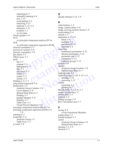[r](#page-35-18)efres[h](#page-35-10) 3-5<br>
SA<br>
r[e](#page-34-20)gression 4-2, 5-6<br>
see principal component analysis (PCA)<br>
Theat 5-6<br>
correlation 5-7<br>
recent of variance 5-6<br>
recent of variance 5-6<br>
recent of variance 5-6<br>
recent of variance 5-6<br>
charts 5-5<br>
lais tr Fram[e](#page-33-13) the state of the state of the state of the state of the state of the state of the state of the state of the state of the state of the state of the state of the state of the state of the state of the state of the stat importing *[6–5](#page-43-3)* manually entering *[6–4](#page-42-2)* new *[3–11](#page-24-8)* recalculating *[5–4](#page-32-8)* removing *[3–12](#page-25-9)* replicate *[3–12](#page-25-8)*, *[4–2](#page-28-9)* summary *[3–11](#page-24-9)* symbols *[5–1](#page-29-6) [see also](#page-23-7)* data Pareto graphs *5–8* PCA *see* principal component analysis (PCA) PCR *see* principal component regression (PCR) Pearson correlation *5–7* percent of variance *5–6* percent, cumulative *5–6* pie charts *5–5* Pillai's trace *5–7* plots bar *5–5* contour *5–5* histograms *5–5* line *5–5* pie charts *5–5* ribbon *5–5* scatter *5–5* surface *5–5* Plotting *[2–5](#page-12-5)*, *5–5* polynomial regression *5–6* preferences *1–2* Analysis Group Creation *3–8* Curve Metrics *5–9* Manual Data Entry *6–1* Plotting *5–5* Quality Monitor *5–9* Statistics *5–7* Table View *5–5* Visual Process Signature *5–8* principal component analysis (PCA) *5–6* principal component regression (PCR) *[4–2](#page-28-18)*, *[5–6](#page-34-17)* printing *[4–2](#page-28-19)* properties *[1–2](#page-6-6)* Analysis Group *[3–5](#page-18-3)* Table View *[5–3](#page-31-10)* p-value *[5–6](#page-34-18)*

#### **Q**

Quality Monitor *[2–6](#page-13-8)*, *[5–8](#page-36-15)*

#### **R**

Analysis Group Cre<br>
Manual Data Entry<br>
replicate data 4–2<br>
replicate groups 3–10,<br>
deleting 3–12<br>
removing 3–12<br>
results<br>
exp[or](#page-28-9)ting 4–2<br>
printing 4–2<br>
Results Paths 1–3, 2–6,<br>
results displaying 1–2 replica[t](#page-28-14)e groups  $3-10$ ,  $3-12$ ,  $5-4$ <br>deleti[n](#page-32-9)g  $3-12$ <br>removing  $4-2$ <br>printing  $4-2$ <br>printing  $4-2$ <br>printing  $4-2$ <br>printing  $4-2$ <br>printing  $4-2$ <br>printing  $4-2$ <br>printing  $4-2$ <br>printing  $4-2$ <br>printing  $4-2$ <br>printing  $4-2$ <br>p radio buttons *[1–2](#page-6-9)* range, control charts *[5–8](#page-36-9)* range, moving (control charts) *[5–8](#page-36-7)* recalculating *[5–4](#page-32-8)* refresh *3–5* regression *4–2*, *5–6* linear *5–6* multiple *5–6* polynomial *5–6* stepwise *5–6* removing continuous parameters *[3–12](#page-25-5)* discrete parameters *[3–12](#page-25-7)* parameter sets *[3–12](#page-25-10)* parameters *3–12* replicate groups *[3–12](#page-25-8)* rename *3–4* replace Analysis Group Creation *[3–8](#page-21-4)* Manual Data Entry *[6–1](#page-39-6)* replicate data *4–2* replicate groups *3–10*, *3–12*, *5–4* deleting *3–12* removing *3–12* results exporting *4–2* printing *4–2* Results Paths *1–3*, *2–6*, *5–7* results, displaying *1–2* ribbon plots *5–5* rollback *3–4* rolling average *5–9* Roy's maximum root *5–7*

#### **S**

saving *4–2 [see also](#page-32-10)* Functional Modules scatter plots *[5–5](#page-33-12)* Scheffe method *[5–7](#page-35-5)* search Analysis Group Creation *[3–8](#page-21-4)* Manual Data Entry *[6–1](#page-39-6)* sharing *[3–3](#page-16-1)*, *[3–4](#page-17-14)* shortcut *[5–7](#page-35-22)*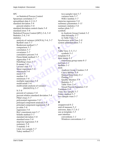#### SPC

tistics 2–6, 5–6<br>
tistics in Table View 5–in<br>
anal[y](#page-34-3)sis of va[r](#page-35-4)iance (ANOVA) 5–6, 5–7<br>
Sync[h](#page-35-3)ronize with Tre<br>
Bartlett's test 5–7<br>
Somparison 5–7<br>
correlation 5–7<br>
correlation 5–7<br>
correlation 5–7<br>
correlation 5–7<br>
correlatio r[e](#page-34-10)cent 3-0<br>
ethod 5-7<br>
filme stamp 4-1<br>
time stamp 4-1<br>
time stamp 4-1<br>
time stamp 4-1<br>
time stamp 4-1<br>
time stamp 4-1<br>
time stamp 4-1<br>
toolbars 1-1<br>
toolbars 1-1<br>
tools<br>
Analysis Group C<br>
Analysis Group C<br>
Curve Metrics 5 *[see](#page-13-12)* Statistical Process Control Spearman correlation *[5–7](#page-35-11)* spreadsheet data *[4–2](#page-28-6)*, *[6–5](#page-43-4)* standard deviation *[5–6](#page-34-21)* percent relative *[5–6](#page-34-22)* standard deviation control charts *[5–8](#page-36-10)* standard error *[5–6](#page-34-23)* Statistical Process Control (SPC) *[2–6](#page-13-12)*, *[5–8](#page-36-18)* Statistics *2–6*, *5–6* statistics analysis of variance (ANOVA) *5–6*, *5–7* Bartlett's test *5–7* Bonferroni method *5–7* comparison *5–7* correlation *5–7* covariance *5–7* cumulative percent *5–6* Dunn-Sidak method *5–7* eigenvalue *5–6* Hotelling's trace *5–7* K-means *5–6* Levene's test *5–7* linear regression *5–6* maximum *5–6* mean *5–6* median *5–6* minimum *5–6* multiple regression *5–6* multivariate *5–6* multivariate analysis of variance (MANOVA) *5–7* N *5–6* percent of variance *5–6* percent relative standard deviation *5–6* Pillai's trace *5–7* polynomial regression *5–6* principal component analysis *5–6* principal component regression *5–6* p-value *5–6* regression *5–6* Roy's maximum root *[5–7](#page-35-19)* Scheffe method *[5–7](#page-35-5)* standard deviation *[5–6](#page-34-21)* standard error *[5–6](#page-34-23)* stepwise regression *[5–6](#page-34-20)* summary *[5–6](#page-34-24)* T-statistic *[5–6](#page-34-25)* t-test, two sample *[5–7](#page-35-23)* Tukey method *[5–7](#page-35-6)*

two-sample t-test *[5–7](#page-35-23)* variance tests *[5–7](#page-35-24)* Wilk's lambda *[5–7](#page-35-20)* stepwise regression *[5–6](#page-34-20)* summary parameters *[3–11](#page-24-9)* summary statistics *[5–6](#page-34-24)* surface plots *[5–5](#page-33-13)* symbols in Analysis Group Central *[3–2](#page-15-5)* data hierarchy *[3–7](#page-20-3)* in Table View *[5–1](#page-29-6)* Synchronize with Tree *[3–9](#page-22-13)* system administration *[7–1](#page-45-3)*

#### **T**

tools<br>
Analysis Group Cre<br>
Curve Metrics 5–9<br>
Manual Data Entry<br>
Plotting 5–5<br>
Quality Monit[or](#page-37-11) 5–1<br>
Statistics 5–7<br>
Table View 5–4<br>
Visual Process Signa<br>
T-statistic 5–6<br>
t-test, two sample 5–7 Manual Data Entry 6-1<br>
Plotting 5-5<br>
Quality Monitor 5-9<br>
Statistics 5-7<br>
Table View 5-4<br>
Visual Process Signature 5-8<br>
T-statistic 5-6<br>
t-test, two sample 5-7<br>
Tukey metho[d](#page-34-18) 5-7<br>
Tukey me[t](#page-32-11)h[o](#page-37-12)d 5-7<br>
two sample t-test 5-7<br>
5-Table View *2–5*, *5–1* symbols *5–1* template *6–6* time stamp *4–1* timestamp group name *[6–3](#page-41-8)* tool tips *1–1* toolbars *1–1* tools Analysis Group Creation *[3–8](#page-21-5)* Curve Metrics *5–9* Manual Data Entry *6–1* Plotting *5–5* Quality Monitor *5–9* Statistics *5–7* Table View *5–4* Visual Process Signature *5–8* T-statistic *5–6* t-test, two sample *5–7* Tukey method *5–7* two sample t-test *5–7*

#### **U**

unapproved *6–2* unit of measure *5–3* universe, data *[3–7](#page-20-5)*, *6–1* use as template *[3–5](#page-18-5)* user interface conventions *[1–1](#page-5-7)* Windows conventions *[1–1](#page-5-6)*